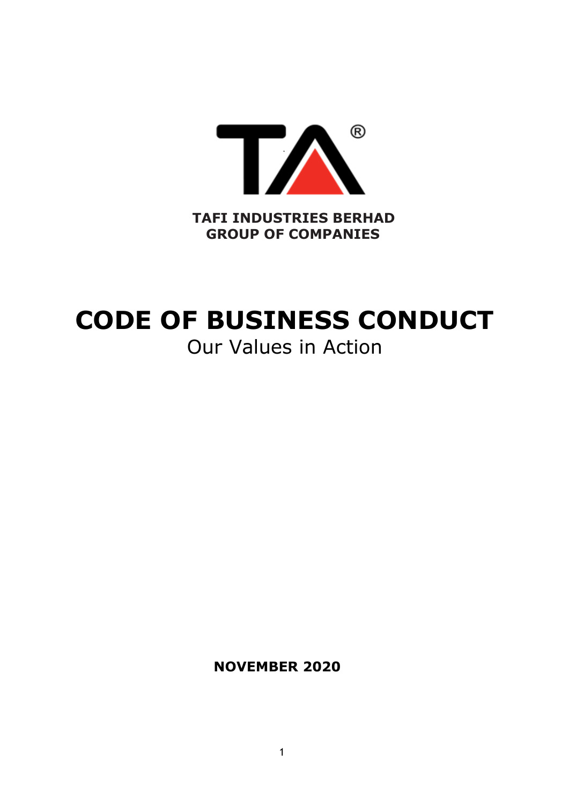

# **CODE OF BUSINESS CONDUCT**

# Our Values in Action

**NOVEMBER 2020**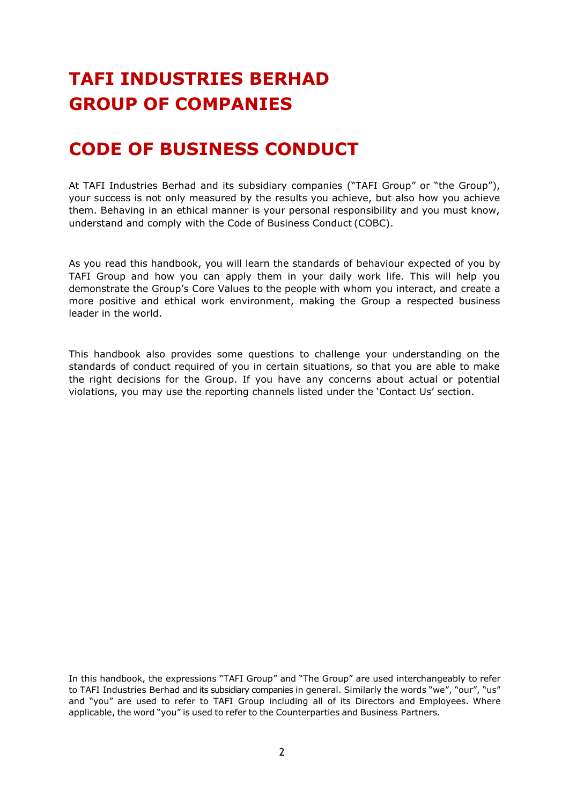# **TAFI INDUSTRIES BERHAD GROUP OF COMPANIES**

## **CODE OF BUSINESS CONDUCT**

At TAFI Industries Berhad and its subsidiary companies ("TAFI Group" or "the Group"), your success is not only measured by the results you achieve, but also how you achieve them. Behaving in an ethical manner is your personal responsibility and you must know, understand and comply with the Code of Business Conduct (COBC).

As you read this handbook, you will learn the standards of behaviour expected of you by TAFI Group and how you can apply them in your daily work life. This will help you demonstrate the Group's Core Values to the people with whom you interact, and create a more positive and ethical work environment, making the Group a respected business leader in the world.

This handbook also provides some questions to challenge your understanding on the standards of conduct required of you in certain situations, so that you are able to make the right decisions for the Group. If you have any concerns about actual or potential violations, you may use the reporting channels listed under the 'Contact Us' section.

In this handbook, the expressions "TAFI Group" and "The Group" are used interchangeably to refer to TAFI Industries Berhad and its subsidiary companies in general. Similarly the words "we", "our", "us" and "you" are used to refer to TAFI Group including all of its Directors and Employees. Where applicable, the word "you" is used to refer to the Counterparties and Business Partners.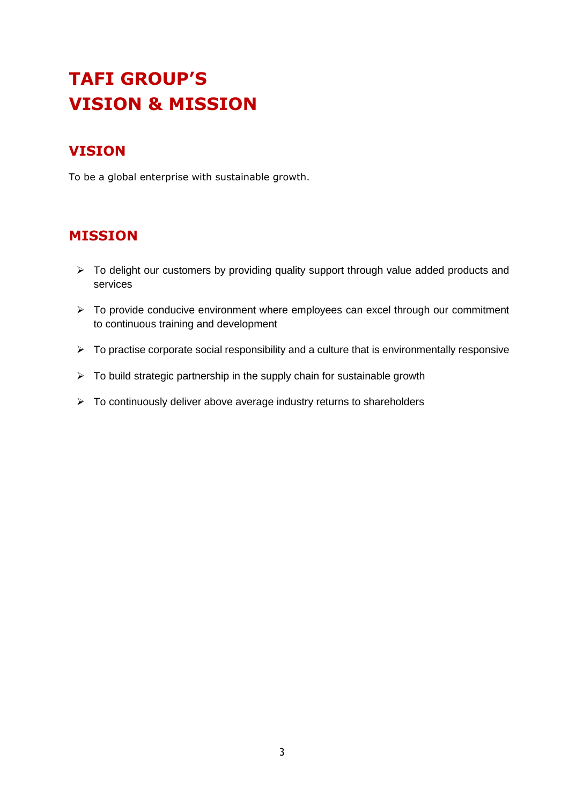# **TAFI GROUP'S VISION & MISSION**

#### **VISION**

To be a global enterprise with sustainable growth.

#### **MISSION**

- ➢ To delight our customers by providing quality support through value added products and services
- ➢ To provide conducive environment where employees can excel through our commitment to continuous training and development
- $\triangleright$  To practise corporate social responsibility and a culture that is environmentally responsive
- ➢ To build strategic partnership in the supply chain for sustainable growth
- ➢ To continuously deliver above average industry returns to shareholders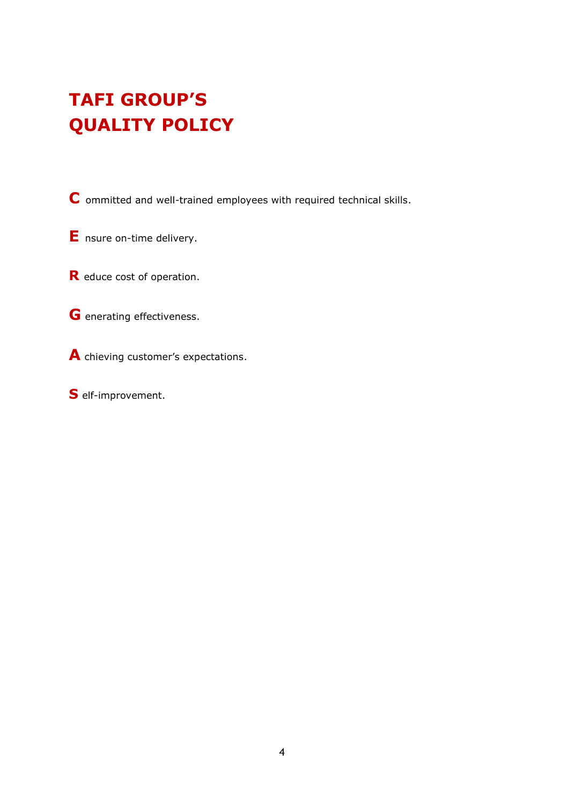# **TAFI GROUP'S QUALITY POLICY**

**C** ommitted and well-trained employees with required technical skills.

**E** nsure on-time delivery.

**R** educe cost of operation.

**G** enerating effectiveness.

**A** chieving customer's expectations.

**S** elf-improvement.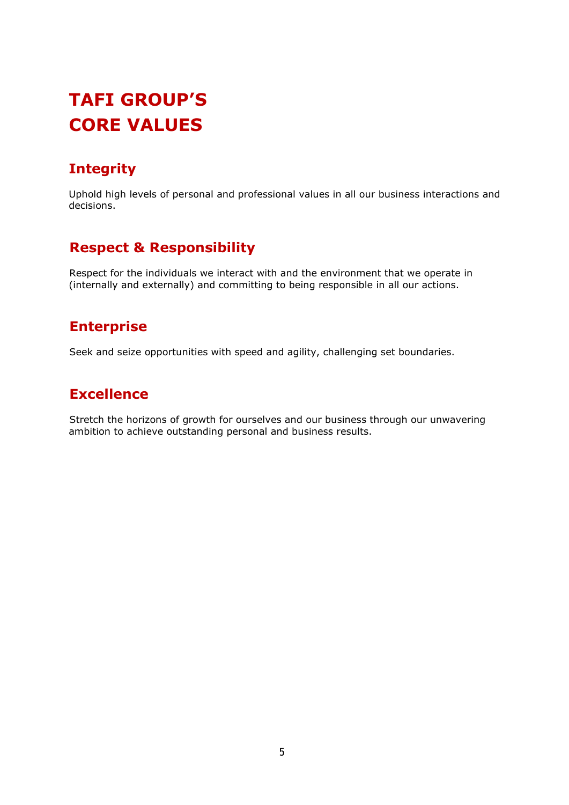# **TAFI GROUP'S CORE VALUES**

### **Integrity**

Uphold high levels of personal and professional values in all our business interactions and decisions.

#### **Respect & Responsibility**

Respect for the individuals we interact with and the environment that we operate in (internally and externally) and committing to being responsible in all our actions.

#### **Enterprise**

Seek and seize opportunities with speed and agility, challenging set boundaries.

#### **Excellence**

Stretch the horizons of growth for ourselves and our business through our unwavering ambition to achieve outstanding personal and business results.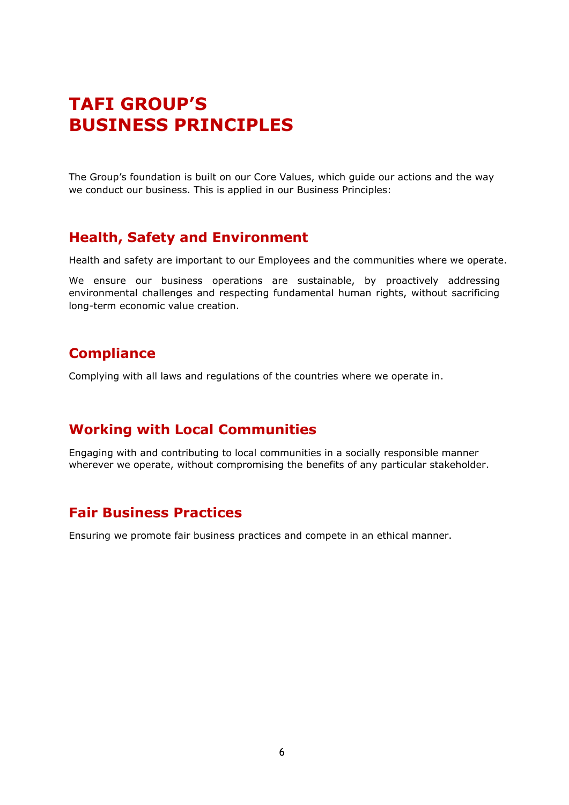### **TAFI GROUP'S BUSINESS PRINCIPLES**

The Group's foundation is built on our Core Values, which guide our actions and the way we conduct our business. This is applied in our Business Principles:

#### **Health, Safety and Environment**

Health and safety are important to our Employees and the communities where we operate.

We ensure our business operations are sustainable, by proactively addressing environmental challenges and respecting fundamental human rights, without sacrificing long-term economic value creation.

#### **Compliance**

Complying with all laws and regulations of the countries where we operate in.

#### **Working with Local Communities**

Engaging with and contributing to local communities in a socially responsible manner wherever we operate, without compromising the benefits of any particular stakeholder.

#### **Fair Business Practices**

Ensuring we promote fair business practices and compete in an ethical manner.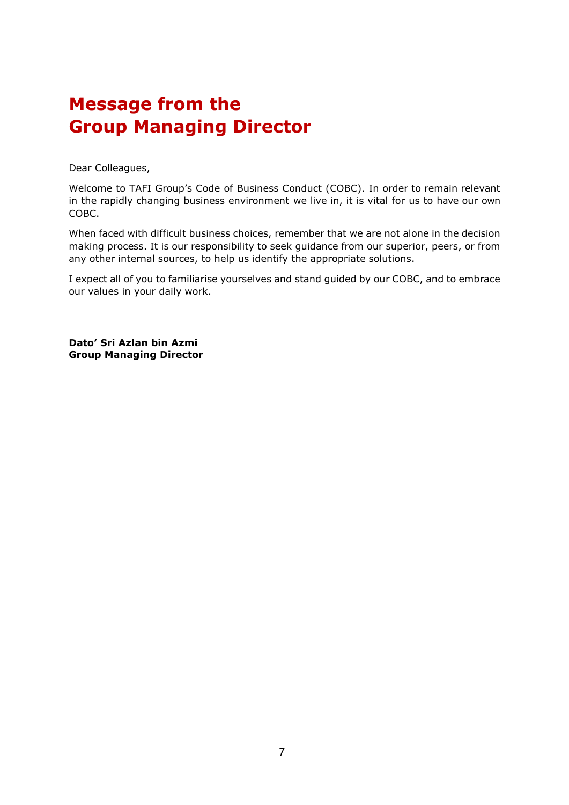### **Message from the Group Managing Director**

Dear Colleagues,

Welcome to TAFI Group's Code of Business Conduct (COBC). In order to remain relevant in the rapidly changing business environment we live in, it is vital for us to have our own COBC.

When faced with difficult business choices, remember that we are not alone in the decision making process. It is our responsibility to seek guidance from our superior, peers, or from any other internal sources, to help us identify the appropriate solutions.

I expect all of you to familiarise yourselves and stand guided by our COBC, and to embrace our values in your daily work.

**Dato' Sri Azlan bin Azmi Group Managing Director**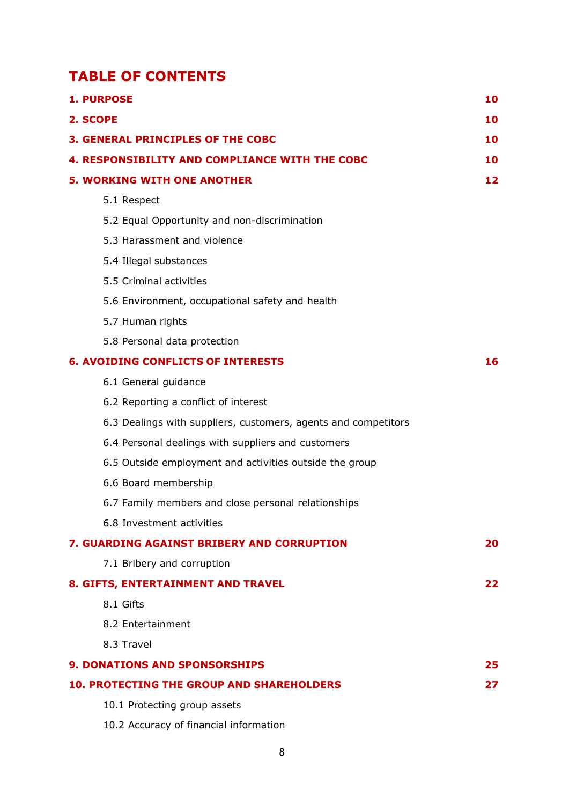#### **TABLE OF CONTENTS**

|                                           | <b>1. PURPOSE</b>                                              | 10  |
|-------------------------------------------|----------------------------------------------------------------|-----|
|                                           | 2. SCOPE                                                       | 10  |
|                                           | <b>3. GENERAL PRINCIPLES OF THE COBC</b>                       | 10  |
|                                           | <b>4. RESPONSIBILITY AND COMPLIANCE WITH THE COBC</b>          | 10  |
|                                           | <b>5. WORKING WITH ONE ANOTHER</b>                             | 12  |
|                                           | 5.1 Respect                                                    |     |
|                                           | 5.2 Equal Opportunity and non-discrimination                   |     |
|                                           | 5.3 Harassment and violence                                    |     |
|                                           | 5.4 Illegal substances                                         |     |
|                                           | 5.5 Criminal activities                                        |     |
|                                           | 5.6 Environment, occupational safety and health                |     |
|                                           | 5.7 Human rights                                               |     |
|                                           | 5.8 Personal data protection                                   |     |
| <b>6. AVOIDING CONFLICTS OF INTERESTS</b> |                                                                |     |
|                                           | 6.1 General guidance                                           |     |
|                                           | 6.2 Reporting a conflict of interest                           |     |
|                                           | 6.3 Dealings with suppliers, customers, agents and competitors |     |
|                                           | 6.4 Personal dealings with suppliers and customers             |     |
|                                           | 6.5 Outside employment and activities outside the group        |     |
|                                           | 6.6 Board membership                                           |     |
|                                           | 6.7 Family members and close personal relationships            |     |
|                                           | 6.8 Investment activities                                      |     |
|                                           | 7. GUARDING AGAINST BRIBERY AND CORRUPTION                     | 20  |
|                                           | 7.1 Bribery and corruption                                     |     |
|                                           | 8. GIFTS, ENTERTAINMENT AND TRAVEL                             | 22. |
|                                           | 8.1 Gifts                                                      |     |
|                                           | 8.2 Entertainment                                              |     |
|                                           | 8.3 Travel                                                     |     |
|                                           | <b>9. DONATIONS AND SPONSORSHIPS</b>                           | 25  |
|                                           | <b>10. PROTECTING THE GROUP AND SHAREHOLDERS</b>               | 27  |
|                                           | 10.1 Protecting group assets                                   |     |

10.2 Accuracy of financial information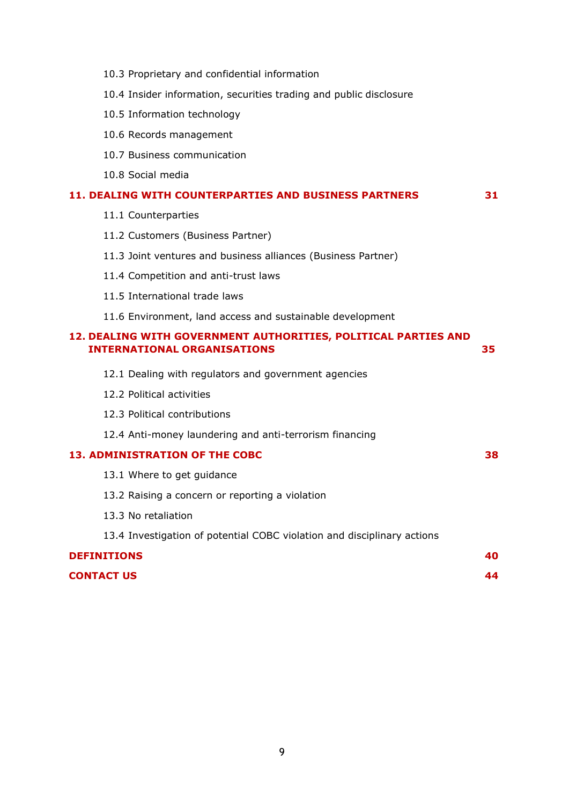| 10.3 Proprietary and confidential information                                                        |    |
|------------------------------------------------------------------------------------------------------|----|
| 10.4 Insider information, securities trading and public disclosure                                   |    |
| 10.5 Information technology                                                                          |    |
| 10.6 Records management                                                                              |    |
| 10.7 Business communication                                                                          |    |
| 10.8 Social media                                                                                    |    |
| 11. DEALING WITH COUNTERPARTIES AND BUSINESS PARTNERS                                                | 31 |
| 11.1 Counterparties                                                                                  |    |
| 11.2 Customers (Business Partner)                                                                    |    |
| 11.3 Joint ventures and business alliances (Business Partner)                                        |    |
| 11.4 Competition and anti-trust laws                                                                 |    |
| 11.5 International trade laws                                                                        |    |
| 11.6 Environment, land access and sustainable development                                            |    |
|                                                                                                      |    |
| 12. DEALING WITH GOVERNMENT AUTHORITIES, POLITICAL PARTIES AND<br><b>INTERNATIONAL ORGANISATIONS</b> | 35 |
| 12.1 Dealing with regulators and government agencies                                                 |    |
| 12.2 Political activities                                                                            |    |
| 12.3 Political contributions                                                                         |    |
| 12.4 Anti-money laundering and anti-terrorism financing                                              |    |
| <b>13. ADMINISTRATION OF THE COBC</b>                                                                | 38 |
| 13.1 Where to get guidance                                                                           |    |
| 13.2 Raising a concern or reporting a violation                                                      |    |
| 13.3 No retaliation                                                                                  |    |
| 13.4 Investigation of potential COBC violation and disciplinary actions                              |    |
| <b>DEFINITIONS</b>                                                                                   | 40 |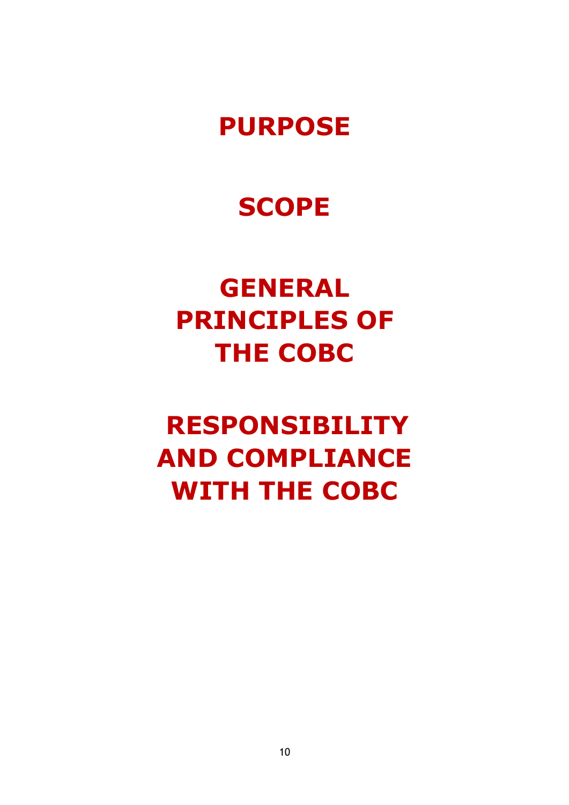# **PURPOSE**

# **SCOPE**

# **GENERAL PRINCIPLES OF THE COBC**

# **RESPONSIBILITY AND COMPLIANCE WITH THE COBC**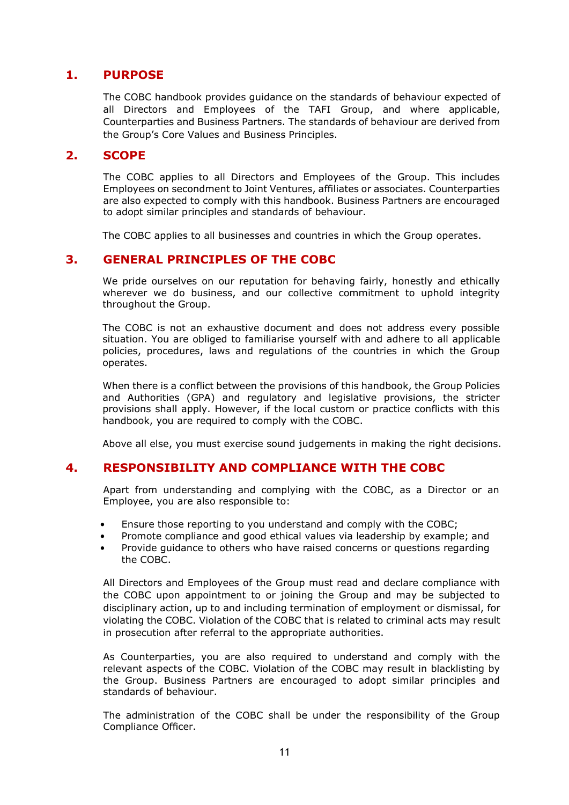#### <span id="page-10-0"></span>**1. PURPOSE**

The COBC handbook provides guidance on the standards of behaviour expected of all Directors and Employees of the TAFI Group, and where applicable, Counterparties and Business Partners. The standards of behaviour are derived from the Group's Core Values and Business Principles.

#### <span id="page-10-1"></span>**2. SCOPE**

The COBC applies to all Directors and Employees of the Group. This includes Employees on secondment to Joint Ventures, affiliates or associates. Counterparties are also expected to comply with this handbook. Business Partners are encouraged to adopt similar principles and standards of behaviour.

The COBC applies to all businesses and countries in which the Group operates.

#### <span id="page-10-2"></span>**3. GENERAL PRINCIPLES OF THE COBC**

We pride ourselves on our reputation for behaving fairly, honestly and ethically wherever we do business, and our collective commitment to uphold integrity throughout the Group.

The COBC is not an exhaustive document and does not address every possible situation. You are obliged to familiarise yourself with and adhere to all applicable policies, procedures, laws and regulations of the countries in which the Group operates.

When there is a conflict between the provisions of this handbook, the Group Policies and Authorities (GPA) and regulatory and legislative provisions, the stricter provisions shall apply. However, if the local custom or practice conflicts with this handbook, you are required to comply with the COBC.

Above all else, you must exercise sound judgements in making the right decisions.

#### <span id="page-10-3"></span>**4. RESPONSIBILITY AND COMPLIANCE WITH THE COBC**

Apart from understanding and complying with the COBC, as a Director or an Employee, you are also responsible to:

- Ensure those reporting to you understand and comply with the COBC;
- Promote compliance and good ethical values via leadership by example; and
- Provide guidance to others who have raised concerns or questions regarding the COBC.

All Directors and Employees of the Group must read and declare compliance with the COBC upon appointment to or joining the Group and may be subjected to disciplinary action, up to and including termination of employment or dismissal, for violating the COBC. Violation of the COBC that is related to criminal acts may result in prosecution after referral to the appropriate authorities.

As Counterparties, you are also required to understand and comply with the relevant aspects of the COBC. Violation of the COBC may result in blacklisting by the Group. Business Partners are encouraged to adopt similar principles and standards of behaviour.

The administration of the COBC shall be under the responsibility of the Group Compliance Officer.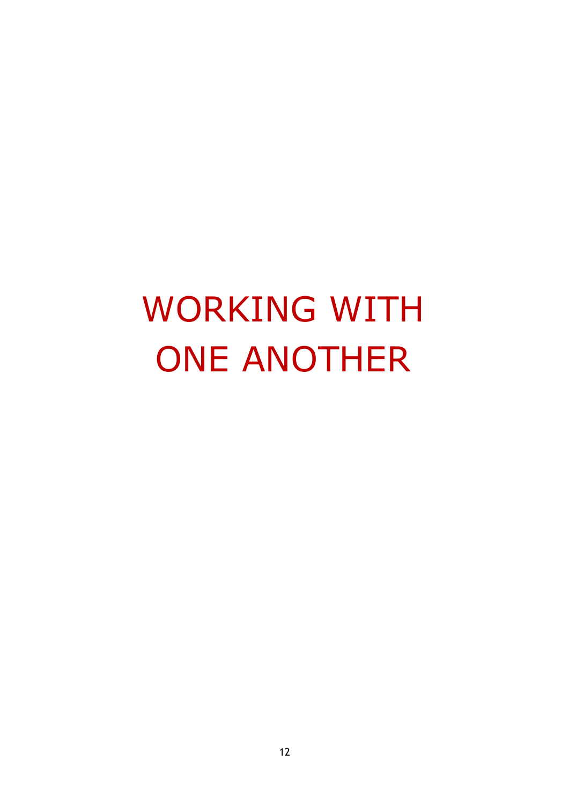# WORKING WITH ONE ANOTHER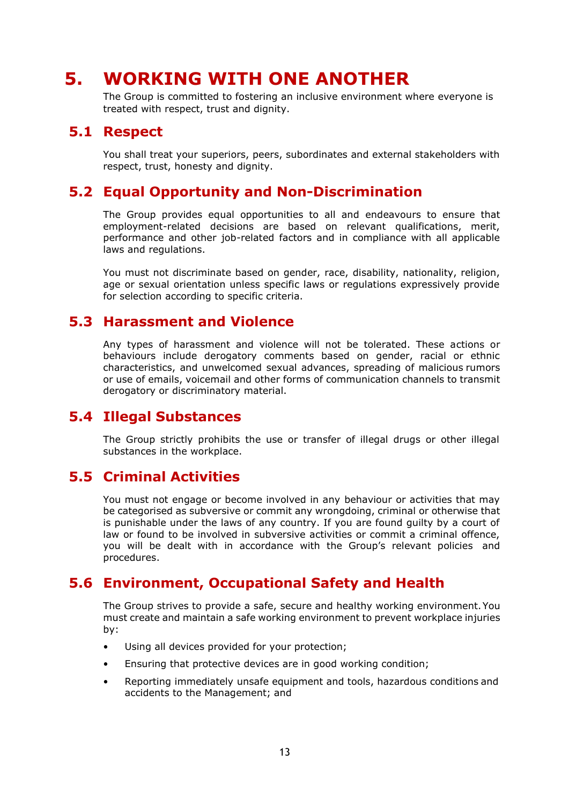### <span id="page-12-0"></span>**5. WORKING WITH ONE ANOTHER**

The Group is committed to fostering an inclusive environment where everyone is treated with respect, trust and dignity.

#### **5.1 Respect**

You shall treat your superiors, peers, subordinates and external stakeholders with respect, trust, honesty and dignity.

#### **5.2 Equal Opportunity and Non-Discrimination**

The Group provides equal opportunities to all and endeavours to ensure that employment-related decisions are based on relevant qualifications, merit, performance and other job-related factors and in compliance with all applicable laws and regulations.

You must not discriminate based on gender, race, disability, nationality, religion, age or sexual orientation unless specific laws or regulations expressively provide for selection according to specific criteria.

#### **5.3 Harassment and Violence**

Any types of harassment and violence will not be tolerated. These actions or behaviours include derogatory comments based on gender, racial or ethnic characteristics, and unwelcomed sexual advances, spreading of malicious rumors or use of emails, voicemail and other forms of communication channels to transmit derogatory or discriminatory material.

#### **5.4 Illegal Substances**

The Group strictly prohibits the use or transfer of illegal drugs or other illegal substances in the workplace.

#### **5.5 Criminal Activities**

You must not engage or become involved in any behaviour or activities that may be categorised as subversive or commit any wrongdoing, criminal or otherwise that is punishable under the laws of any country. If you are found guilty by a court of law or found to be involved in subversive activities or commit a criminal offence, you will be dealt with in accordance with the Group's relevant policies and procedures.

#### **5.6 Environment, Occupational Safety and Health**

The Group strives to provide a safe, secure and healthy working environment.You must create and maintain a safe working environment to prevent workplace injuries by:

- Using all devices provided for your protection;
- Ensuring that protective devices are in good working condition;
- Reporting immediately unsafe equipment and tools, hazardous conditions and accidents to the Management; and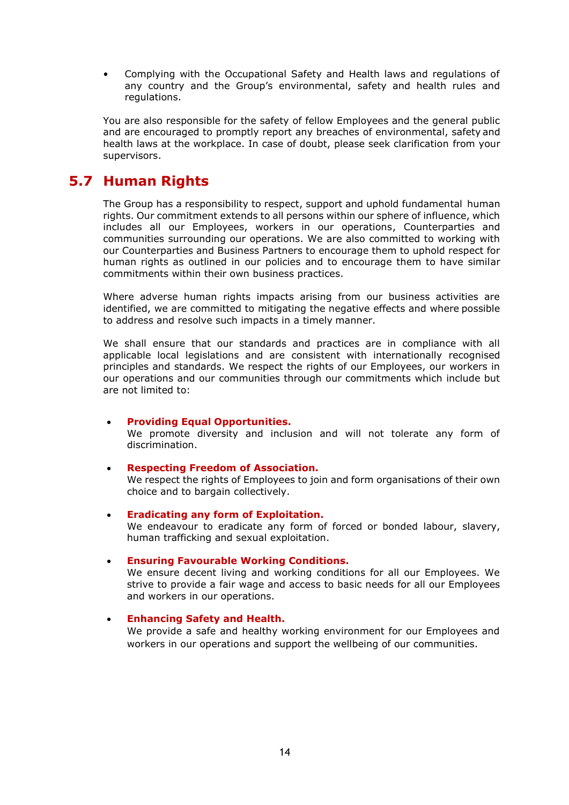• Complying with the Occupational Safety and Health laws and regulations of any country and the Group's environmental, safety and health rules and regulations.

You are also responsible for the safety of fellow Employees and the general public and are encouraged to promptly report any breaches of environmental, safety and health laws at the workplace. In case of doubt, please seek clarification from your supervisors.

#### **5.7 Human Rights**

The Group has a responsibility to respect, support and uphold fundamental human rights. Our commitment extends to all persons within our sphere of influence, which includes all our Employees, workers in our operations, Counterparties and communities surrounding our operations. We are also committed to working with our Counterparties and Business Partners to encourage them to uphold respect for human rights as outlined in our policies and to encourage them to have similar commitments within their own business practices.

Where adverse human rights impacts arising from our business activities are identified, we are committed to mitigating the negative effects and where possible to address and resolve such impacts in a timely manner.

We shall ensure that our standards and practices are in compliance with all applicable local legislations and are consistent with internationally recognised principles and standards. We respect the rights of our Employees, our workers in our operations and our communities through our commitments which include but are not limited to:

- **Providing Equal Opportunities.** We promote diversity and inclusion and will not tolerate any form of discrimination.
- **Respecting Freedom of Association.** We respect the rights of Employees to join and form organisations of their own choice and to bargain collectively.
- **Eradicating any form of Exploitation.** We endeavour to eradicate any form of forced or bonded labour, slavery, human trafficking and sexual exploitation.

#### • **Ensuring Favourable Working Conditions.**

We ensure decent living and working conditions for all our Employees. We strive to provide a fair wage and access to basic needs for all our Employees and workers in our operations.

#### • **Enhancing Safety and Health.**

We provide a safe and healthy working environment for our Employees and workers in our operations and support the wellbeing of our communities.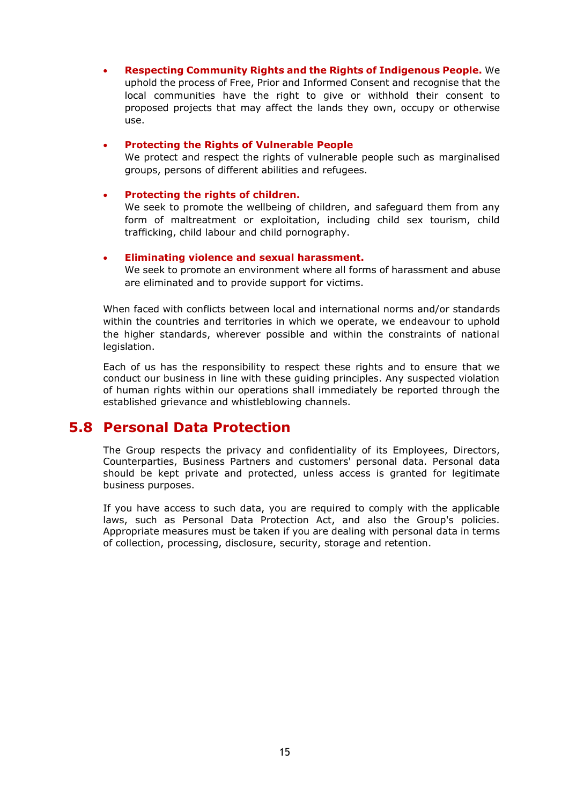• **Respecting Community Rights and the Rights of Indigenous People.** We uphold the process of Free, Prior and Informed Consent and recognise that the local communities have the right to give or withhold their consent to proposed projects that may affect the lands they own, occupy or otherwise use.

#### • **Protecting the Rights of Vulnerable People**

We protect and respect the rights of vulnerable people such as marginalised groups, persons of different abilities and refugees.

#### • **Protecting the rights of children.**

We seek to promote the wellbeing of children, and safeguard them from any form of maltreatment or exploitation, including child sex tourism, child trafficking, child labour and child pornography.

#### • **Eliminating violence and sexual harassment.**

We seek to promote an environment where all forms of harassment and abuse are eliminated and to provide support for victims.

When faced with conflicts between local and international norms and/or standards within the countries and territories in which we operate, we endeavour to uphold the higher standards, wherever possible and within the constraints of national legislation.

Each of us has the responsibility to respect these rights and to ensure that we conduct our business in line with these guiding principles. Any suspected violation of human rights within our operations shall immediately be reported through the established grievance and whistleblowing channels.

#### **5.8 Personal Data Protection**

The Group respects the privacy and confidentiality of its Employees, Directors, Counterparties, Business Partners and customers' personal data. Personal data should be kept private and protected, unless access is granted for legitimate business purposes.

If you have access to such data, you are required to comply with the applicable laws, such as Personal Data Protection Act, and also the Group's policies. Appropriate measures must be taken if you are dealing with personal data in terms of collection, processing, disclosure, security, storage and retention.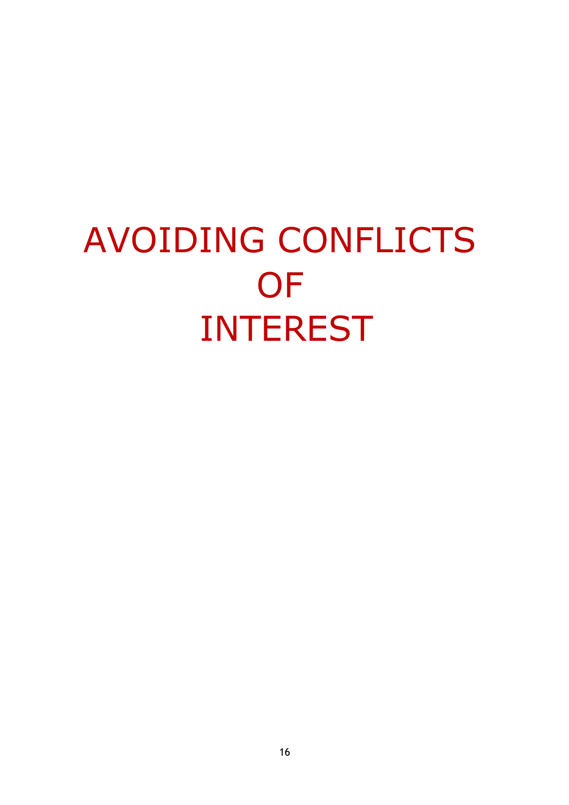# AVOIDING CONFLICTS **OF** INTEREST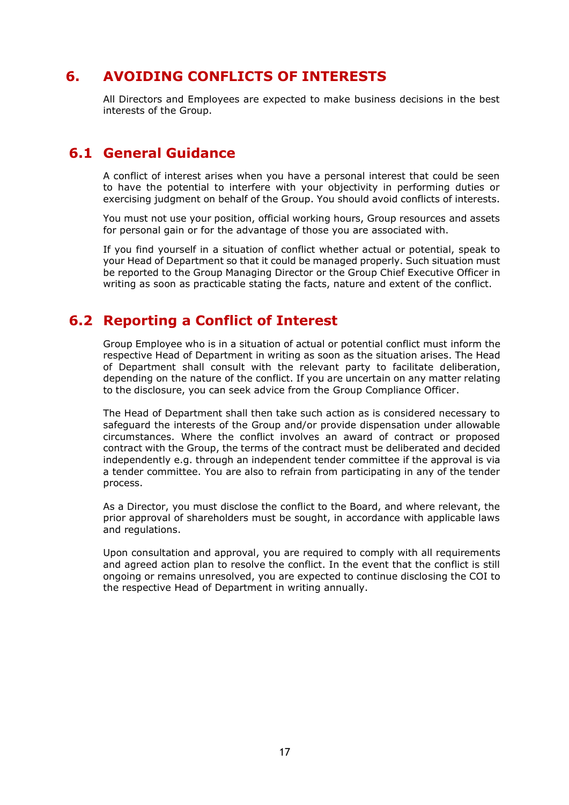#### **6. AVOIDING CONFLICTS OF INTERESTS**

All Directors and Employees are expected to make business decisions in the best interests of the Group.

#### **6.1 General Guidance**

A conflict of interest arises when you have a personal interest that could be seen to have the potential to interfere with your objectivity in performing duties or exercising judgment on behalf of the Group. You should avoid conflicts of interests.

You must not use your position, official working hours, Group resources and assets for personal gain or for the advantage of those you are associated with.

If you find yourself in a situation of conflict whether actual or potential, speak to your Head of Department so that it could be managed properly. Such situation must be reported to the Group Managing Director or the Group Chief Executive Officer in writing as soon as practicable stating the facts, nature and extent of the conflict.

#### **6.2 Reporting a Conflict of Interest**

Group Employee who is in a situation of actual or potential conflict must inform the respective Head of Department in writing as soon as the situation arises. The Head of Department shall consult with the relevant party to facilitate deliberation, depending on the nature of the conflict. If you are uncertain on any matter relating to the disclosure, you can seek advice from the Group Compliance Officer.

The Head of Department shall then take such action as is considered necessary to safeguard the interests of the Group and/or provide dispensation under allowable circumstances. Where the conflict involves an award of contract or proposed contract with the Group, the terms of the contract must be deliberated and decided independently e.g. through an independent tender committee if the approval is via a tender committee. You are also to refrain from participating in any of the tender process.

As a Director, you must disclose the conflict to the Board, and where relevant, the prior approval of shareholders must be sought, in accordance with applicable laws and regulations.

Upon consultation and approval, you are required to comply with all requirements and agreed action plan to resolve the conflict. In the event that the conflict is still ongoing or remains unresolved, you are expected to continue disclosing the COI to the respective Head of Department in writing annually.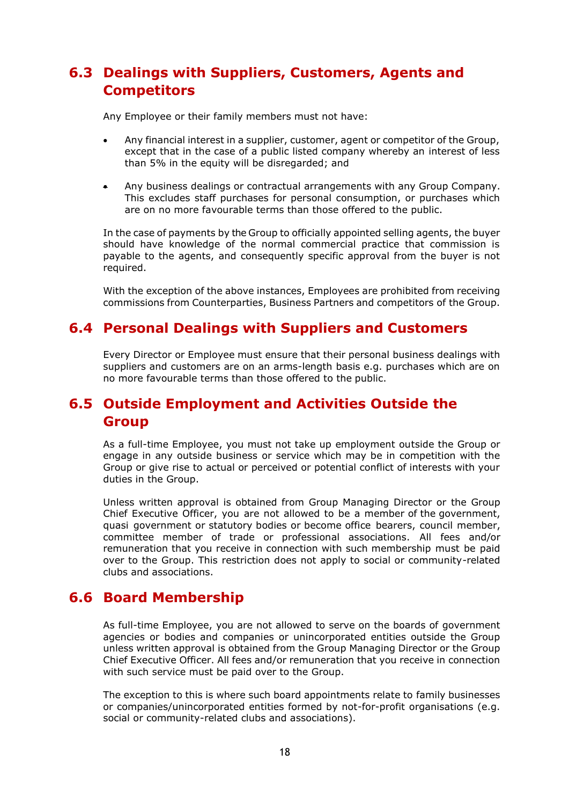#### **6.3 Dealings with Suppliers, Customers, Agents and Competitors**

Any Employee or their family members must not have:

- Any financial interest in a supplier, customer, agent or competitor of the Group, except that in the case of a public listed company whereby an interest of less than 5% in the equity will be disregarded; and
- Any business dealings or contractual arrangements with any Group Company. This excludes staff purchases for personal consumption, or purchases which are on no more favourable terms than those offered to the public.

In the case of payments by the Group to officially appointed selling agents, the buyer should have knowledge of the normal commercial practice that commission is payable to the agents, and consequently specific approval from the buyer is not required.

With the exception of the above instances, Employees are prohibited from receiving commissions from Counterparties, Business Partners and competitors of the Group.

#### **6.4 Personal Dealings with Suppliers and Customers**

Every Director or Employee must ensure that their personal business dealings with suppliers and customers are on an arms-length basis e.g. purchases which are on no more favourable terms than those offered to the public.

#### **6.5 Outside Employment and Activities Outside the Group**

As a full-time Employee, you must not take up employment outside the Group or engage in any outside business or service which may be in competition with the Group or give rise to actual or perceived or potential conflict of interests with your duties in the Group.

Unless written approval is obtained from Group Managing Director or the Group Chief Executive Officer, you are not allowed to be a member of the government, quasi government or statutory bodies or become office bearers, council member, committee member of trade or professional associations. All fees and/or remuneration that you receive in connection with such membership must be paid over to the Group. This restriction does not apply to social or community-related clubs and associations.

#### **6.6 Board Membership**

As full-time Employee, you are not allowed to serve on the boards of government agencies or bodies and companies or unincorporated entities outside the Group unless written approval is obtained from the Group Managing Director or the Group Chief Executive Officer. All fees and/or remuneration that you receive in connection with such service must be paid over to the Group.

The exception to this is where such board appointments relate to family businesses or companies/unincorporated entities formed by not-for-profit organisations (e.g. social or community-related clubs and associations).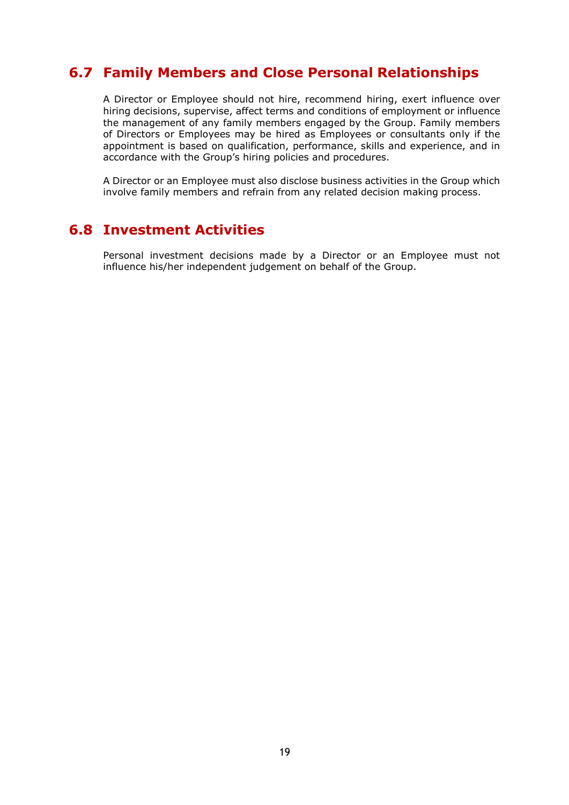#### **6.7 Family Members and Close Personal Relationships**

A Director or Employee should not hire, recommend hiring, exert influence over hiring decisions, supervise, affect terms and conditions of employment or influence the management of any family members engaged by the Group. Family members of Directors or Employees may be hired as Employees or consultants only if the appointment is based on qualification, performance, skills and experience, and in accordance with the Group's hiring policies and procedures.

A Director or an Employee must also disclose business activities in the Group which involve family members and refrain from any related decision making process.

#### **6.8 Investment Activities**

Personal investment decisions made by a Director or an Employee must not influence his/her independent judgement on behalf of the Group.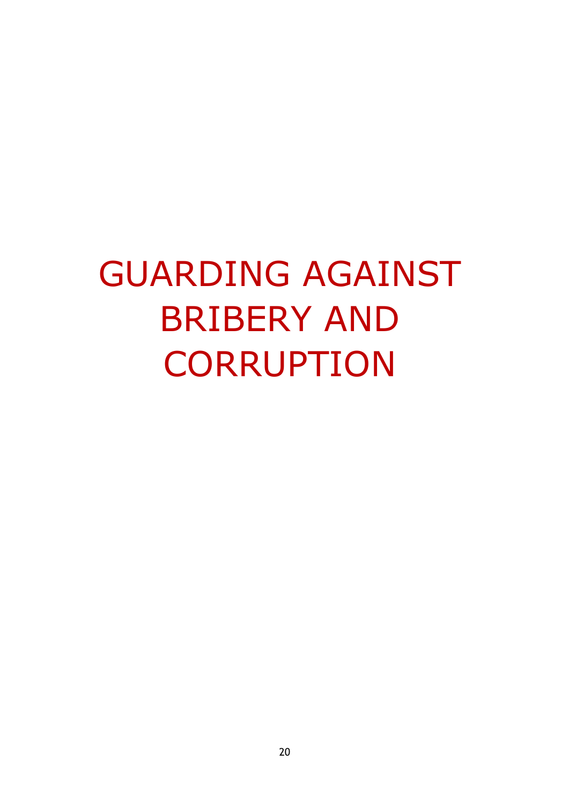# GUARDING AGAINST BRIBERY AND **CORRUPTION**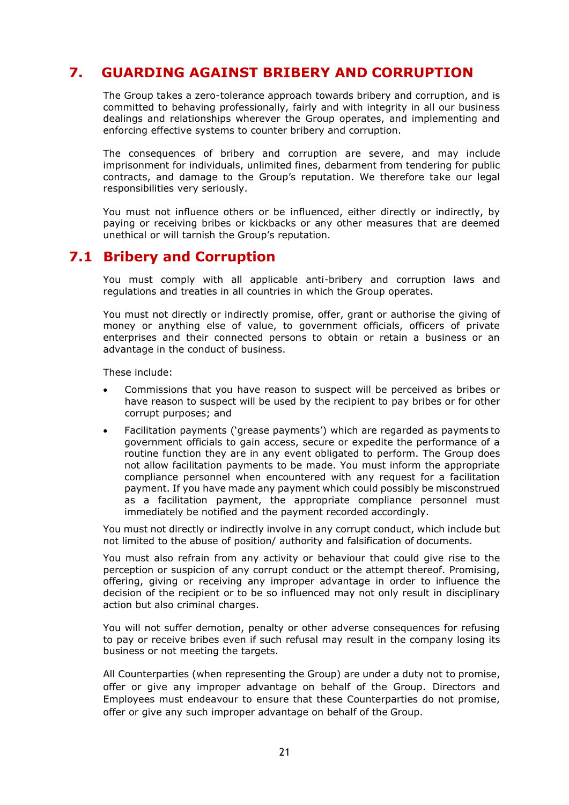#### **7. GUARDING AGAINST BRIBERY AND CORRUPTION**

The Group takes a zero-tolerance approach towards bribery and corruption, and is committed to behaving professionally, fairly and with integrity in all our business dealings and relationships wherever the Group operates, and implementing and enforcing effective systems to counter bribery and corruption.

The consequences of bribery and corruption are severe, and may include imprisonment for individuals, unlimited fines, debarment from tendering for public contracts, and damage to the Group's reputation. We therefore take our legal responsibilities very seriously.

You must not influence others or be influenced, either directly or indirectly, by paying or receiving bribes or kickbacks or any other measures that are deemed unethical or will tarnish the Group's reputation.

#### **7.1 Bribery and Corruption**

You must comply with all applicable anti-bribery and corruption laws and regulations and treaties in all countries in which the Group operates.

You must not directly or indirectly promise, offer, grant or authorise the giving of money or anything else of value, to government officials, officers of private enterprises and their connected persons to obtain or retain a business or an advantage in the conduct of business.

These include:

- Commissions that you have reason to suspect will be perceived as bribes or have reason to suspect will be used by the recipient to pay bribes or for other corrupt purposes; and
- Facilitation payments ('grease payments') which are regarded as payments to government officials to gain access, secure or expedite the performance of a routine function they are in any event obligated to perform. The Group does not allow facilitation payments to be made. You must inform the appropriate compliance personnel when encountered with any request for a facilitation payment. If you have made any payment which could possibly be misconstrued as a facilitation payment, the appropriate compliance personnel must immediately be notified and the payment recorded accordingly.

You must not directly or indirectly involve in any corrupt conduct, which include but not limited to the abuse of position/ authority and falsification of documents.

You must also refrain from any activity or behaviour that could give rise to the perception or suspicion of any corrupt conduct or the attempt thereof. Promising, offering, giving or receiving any improper advantage in order to influence the decision of the recipient or to be so influenced may not only result in disciplinary action but also criminal charges.

You will not suffer demotion, penalty or other adverse consequences for refusing to pay or receive bribes even if such refusal may result in the company losing its business or not meeting the targets.

All Counterparties (when representing the Group) are under a duty not to promise, offer or give any improper advantage on behalf of the Group. Directors and Employees must endeavour to ensure that these Counterparties do not promise, offer or give any such improper advantage on behalf of the Group.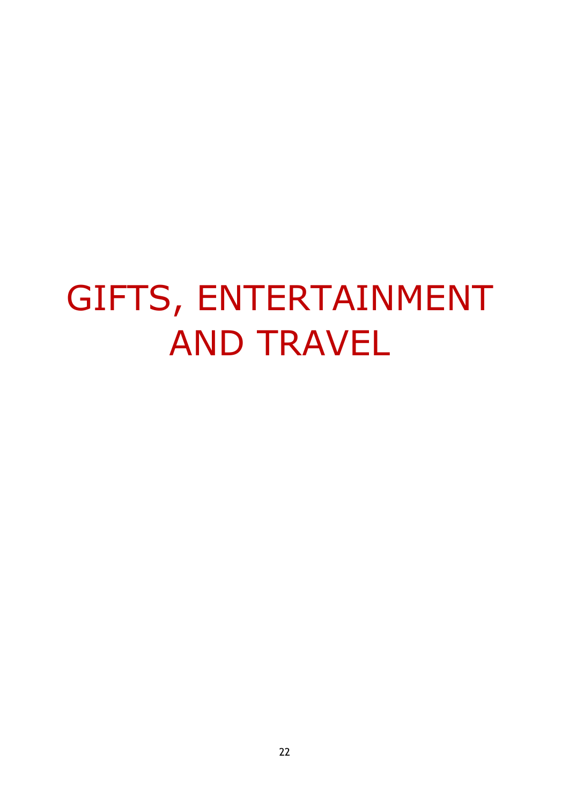# GIFTS, ENTERTAINMENT AND TRAVEL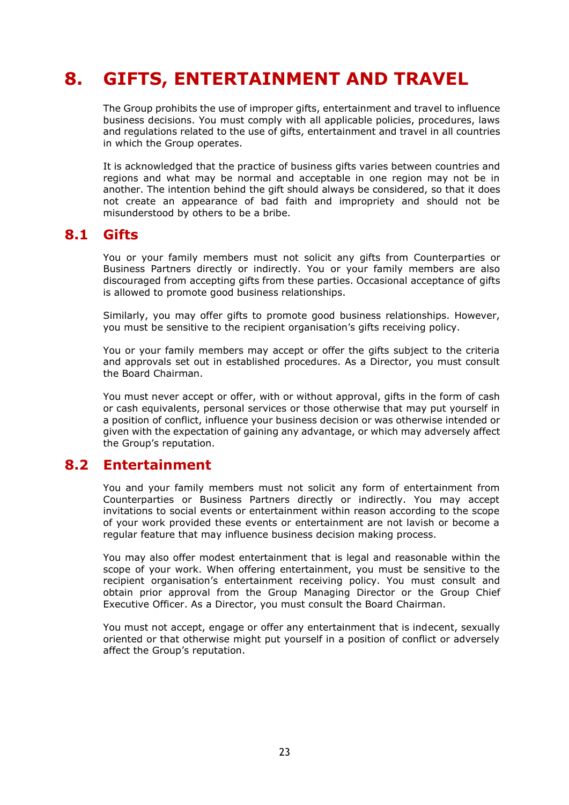## **8. GIFTS, ENTERTAINMENT AND TRAVEL**

The Group prohibits the use of improper gifts, entertainment and travel to influence business decisions. You must comply with all applicable policies, procedures, laws and regulations related to the use of gifts, entertainment and travel in all countries in which the Group operates.

It is acknowledged that the practice of business gifts varies between countries and regions and what may be normal and acceptable in one region may not be in another. The intention behind the gift should always be considered, so that it does not create an appearance of bad faith and impropriety and should not be misunderstood by others to be a bribe.

#### **8.1 Gifts**

You or your family members must not solicit any gifts from Counterparties or Business Partners directly or indirectly. You or your family members are also discouraged from accepting gifts from these parties. Occasional acceptance of gifts is allowed to promote good business relationships.

Similarly, you may offer gifts to promote good business relationships. However, you must be sensitive to the recipient organisation's gifts receiving policy.

You or your family members may accept or offer the gifts subject to the criteria and approvals set out in established procedures. As a Director, you must consult the Board Chairman.

You must never accept or offer, with or without approval, gifts in the form of cash or cash equivalents, personal services or those otherwise that may put yourself in a position of conflict, influence your business decision or was otherwise intended or given with the expectation of gaining any advantage, or which may adversely affect the Group's reputation.

#### **8.2 Entertainment**

You and your family members must not solicit any form of entertainment from Counterparties or Business Partners directly or indirectly. You may accept invitations to social events or entertainment within reason according to the scope of your work provided these events or entertainment are not lavish or become a regular feature that may influence business decision making process.

You may also offer modest entertainment that is legal and reasonable within the scope of your work. When offering entertainment, you must be sensitive to the recipient organisation's entertainment receiving policy. You must consult and obtain prior approval from the Group Managing Director or the Group Chief Executive Officer. As a Director, you must consult the Board Chairman.

You must not accept, engage or offer any entertainment that is indecent, sexually oriented or that otherwise might put yourself in a position of conflict or adversely affect the Group's reputation.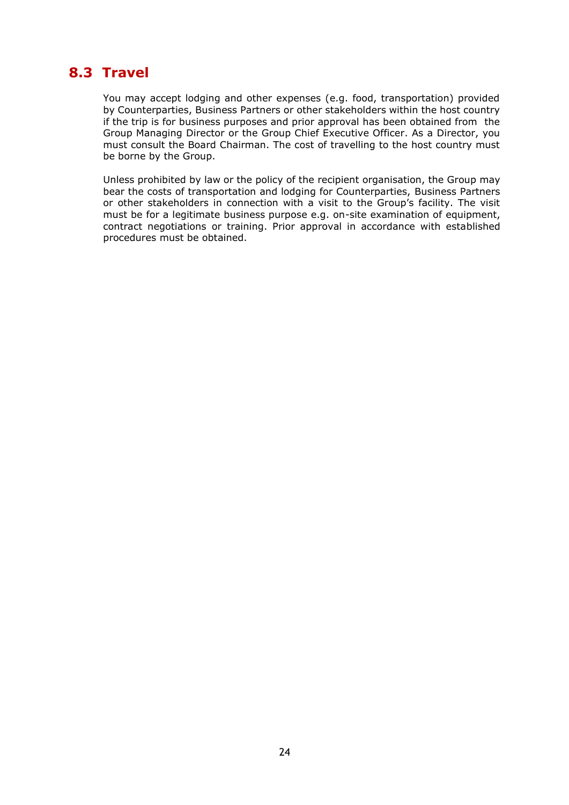#### **8.3 Travel**

You may accept lodging and other expenses (e.g. food, transportation) provided by Counterparties, Business Partners or other stakeholders within the host country if the trip is for business purposes and prior approval has been obtained from the Group Managing Director or the Group Chief Executive Officer. As a Director, you must consult the Board Chairman. The cost of travelling to the host country must be borne by the Group.

Unless prohibited by law or the policy of the recipient organisation, the Group may bear the costs of transportation and lodging for Counterparties, Business Partners or other stakeholders in connection with a visit to the Group's facility. The visit must be for a legitimate business purpose e.g. on-site examination of equipment, contract negotiations or training. Prior approval in accordance with established procedures must be obtained.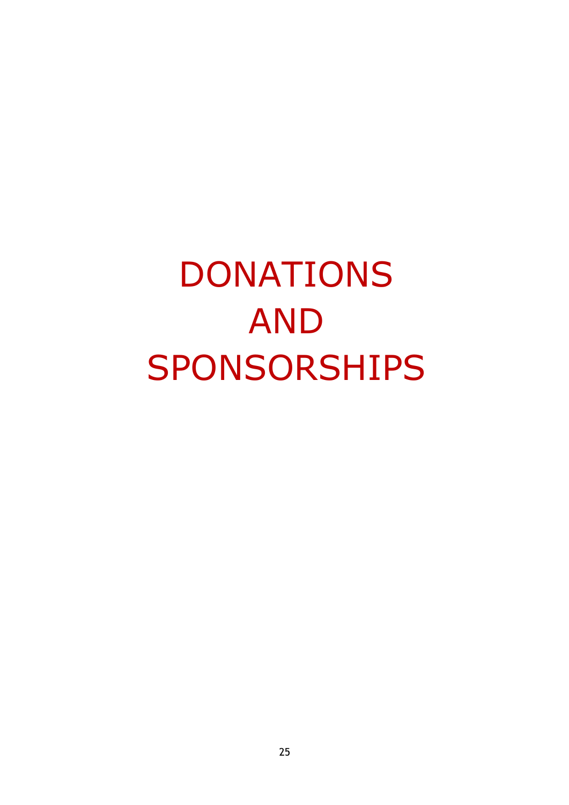# DONATIONS AND SPONSORSHIPS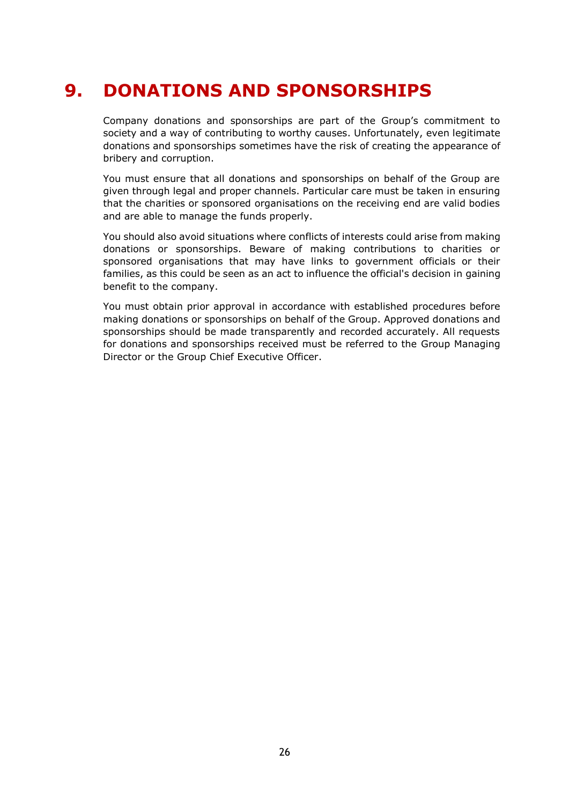## **9. DONATIONS AND SPONSORSHIPS**

Company donations and sponsorships are part of the Group's commitment to society and a way of contributing to worthy causes. Unfortunately, even legitimate donations and sponsorships sometimes have the risk of creating the appearance of bribery and corruption.

You must ensure that all donations and sponsorships on behalf of the Group are given through legal and proper channels. Particular care must be taken in ensuring that the charities or sponsored organisations on the receiving end are valid bodies and are able to manage the funds properly.

You should also avoid situations where conflicts of interests could arise from making donations or sponsorships. Beware of making contributions to charities or sponsored organisations that may have links to government officials or their families, as this could be seen as an act to influence the official's decision in gaining benefit to the company.

You must obtain prior approval in accordance with established procedures before making donations or sponsorships on behalf of the Group. Approved donations and sponsorships should be made transparently and recorded accurately. All requests for donations and sponsorships received must be referred to the Group Managing Director or the Group Chief Executive Officer.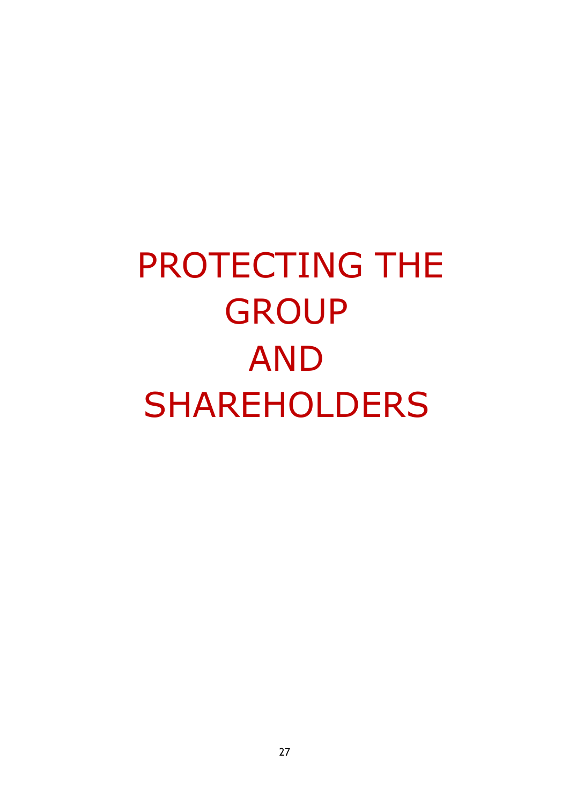PROTECTING THE **GROUP** AND SHAREHOLDERS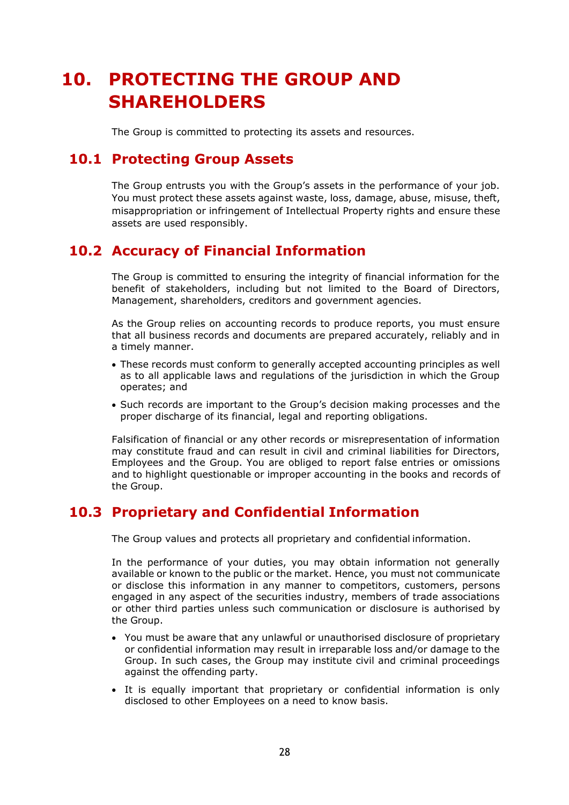## **10. PROTECTING THE GROUP AND SHAREHOLDERS**

The Group is committed to protecting its assets and resources.

#### **10.1 Protecting Group Assets**

The Group entrusts you with the Group's assets in the performance of your job. You must protect these assets against waste, loss, damage, abuse, misuse, theft, misappropriation or infringement of Intellectual Property rights and ensure these assets are used responsibly.

#### **10.2 Accuracy of Financial Information**

The Group is committed to ensuring the integrity of financial information for the benefit of stakeholders, including but not limited to the Board of Directors, Management, shareholders, creditors and government agencies.

As the Group relies on accounting records to produce reports, you must ensure that all business records and documents are prepared accurately, reliably and in a timely manner.

- These records must conform to generally accepted accounting principles as well as to all applicable laws and regulations of the jurisdiction in which the Group operates; and
- Such records are important to the Group's decision making processes and the proper discharge of its financial, legal and reporting obligations.

Falsification of financial or any other records or misrepresentation of information may constitute fraud and can result in civil and criminal liabilities for Directors, Employees and the Group. You are obliged to report false entries or omissions and to highlight questionable or improper accounting in the books and records of the Group.

#### **10.3 Proprietary and Confidential Information**

The Group values and protects all proprietary and confidential information.

In the performance of your duties, you may obtain information not generally available or known to the public or the market. Hence, you must not communicate or disclose this information in any manner to competitors, customers, persons engaged in any aspect of the securities industry, members of trade associations or other third parties unless such communication or disclosure is authorised by the Group.

- You must be aware that any unlawful or unauthorised disclosure of proprietary or confidential information may result in irreparable loss and/or damage to the Group. In such cases, the Group may institute civil and criminal proceedings against the offending party.
- It is equally important that proprietary or confidential information is only disclosed to other Employees on a need to know basis.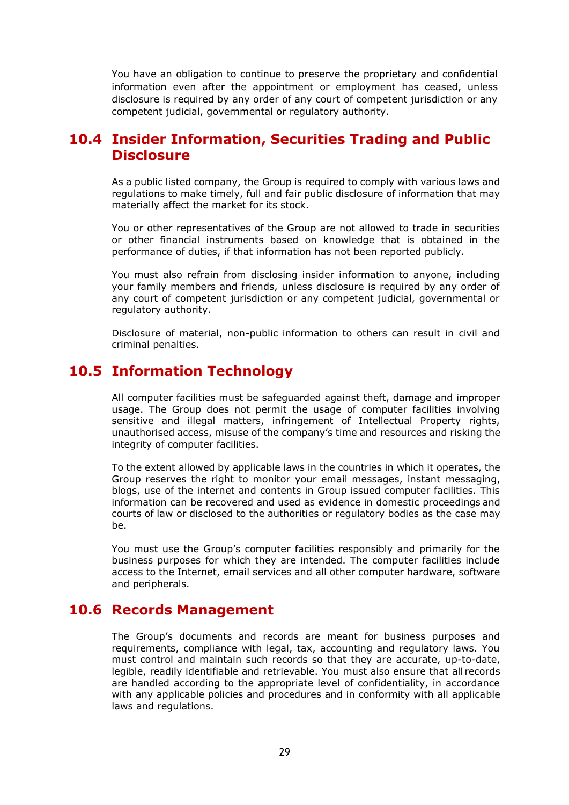You have an obligation to continue to preserve the proprietary and confidential information even after the appointment or employment has ceased, unless disclosure is required by any order of any court of competent jurisdiction or any competent judicial, governmental or regulatory authority.

#### **10.4 Insider Information, Securities Trading and Public Disclosure**

As a public listed company, the Group is required to comply with various laws and regulations to make timely, full and fair public disclosure of information that may materially affect the market for its stock.

You or other representatives of the Group are not allowed to trade in securities or other financial instruments based on knowledge that is obtained in the performance of duties, if that information has not been reported publicly.

You must also refrain from disclosing insider information to anyone, including your family members and friends, unless disclosure is required by any order of any court of competent jurisdiction or any competent judicial, governmental or regulatory authority.

Disclosure of material, non-public information to others can result in civil and criminal penalties.

#### **10.5 Information Technology**

All computer facilities must be safeguarded against theft, damage and improper usage. The Group does not permit the usage of computer facilities involving sensitive and illegal matters, infringement of Intellectual Property rights, unauthorised access, misuse of the company's time and resources and risking the integrity of computer facilities.

To the extent allowed by applicable laws in the countries in which it operates, the Group reserves the right to monitor your email messages, instant messaging, blogs, use of the internet and contents in Group issued computer facilities. This information can be recovered and used as evidence in domestic proceedings and courts of law or disclosed to the authorities or regulatory bodies as the case may be.

You must use the Group's computer facilities responsibly and primarily for the business purposes for which they are intended. The computer facilities include access to the Internet, email services and all other computer hardware, software and peripherals.

#### **10.6 Records Management**

The Group's documents and records are meant for business purposes and requirements, compliance with legal, tax, accounting and regulatory laws. You must control and maintain such records so that they are accurate, up-to-date, legible, readily identifiable and retrievable. You must also ensure that all records are handled according to the appropriate level of confidentiality, in accordance with any applicable policies and procedures and in conformity with all applicable laws and regulations.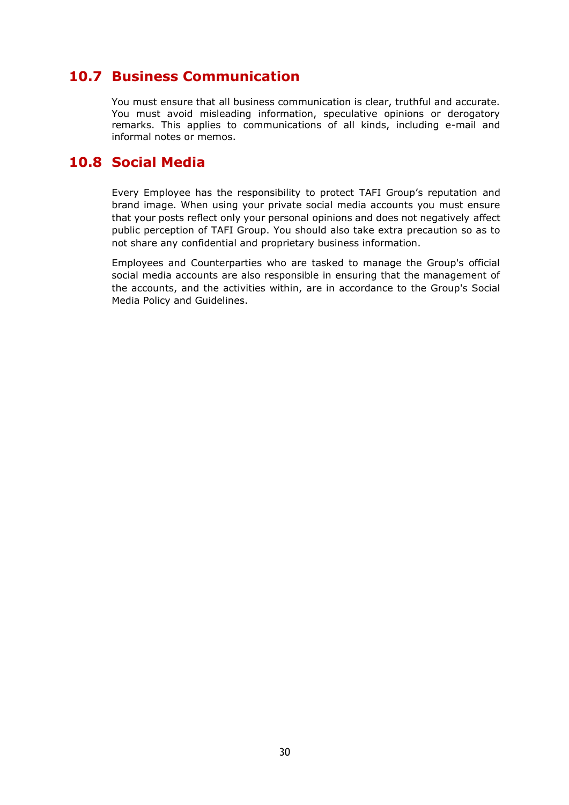#### **10.7 Business Communication**

You must ensure that all business communication is clear, truthful and accurate. You must avoid misleading information, speculative opinions or derogatory remarks. This applies to communications of all kinds, including e-mail and informal notes or memos.

#### **10.8 Social Media**

Every Employee has the responsibility to protect TAFI Group's reputation and brand image. When using your private social media accounts you must ensure that your posts reflect only your personal opinions and does not negatively affect public perception of TAFI Group. You should also take extra precaution so as to not share any confidential and proprietary business information.

Employees and Counterparties who are tasked to manage the Group's official social media accounts are also responsible in ensuring that the management of the accounts, and the activities within, are in accordance to the Group's Social Media Policy and Guidelines.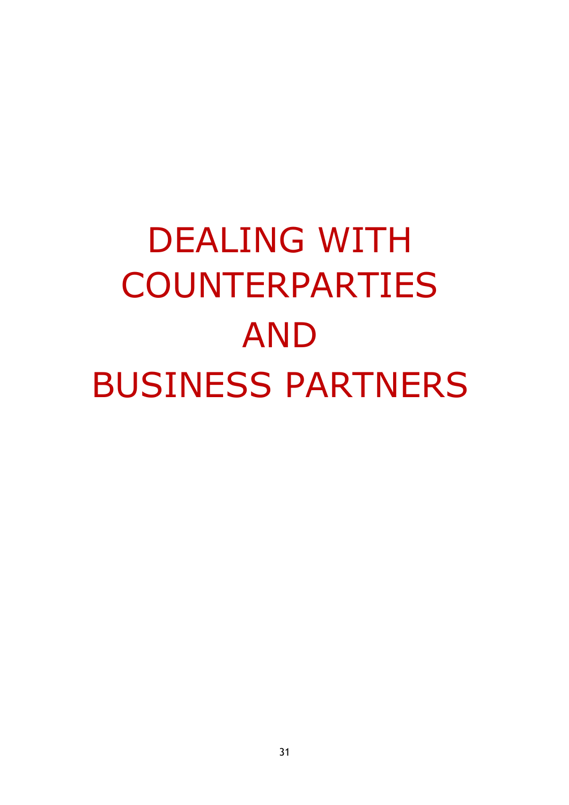# DEALING WITH COUNTERPARTIES AND BUSINESS PARTNERS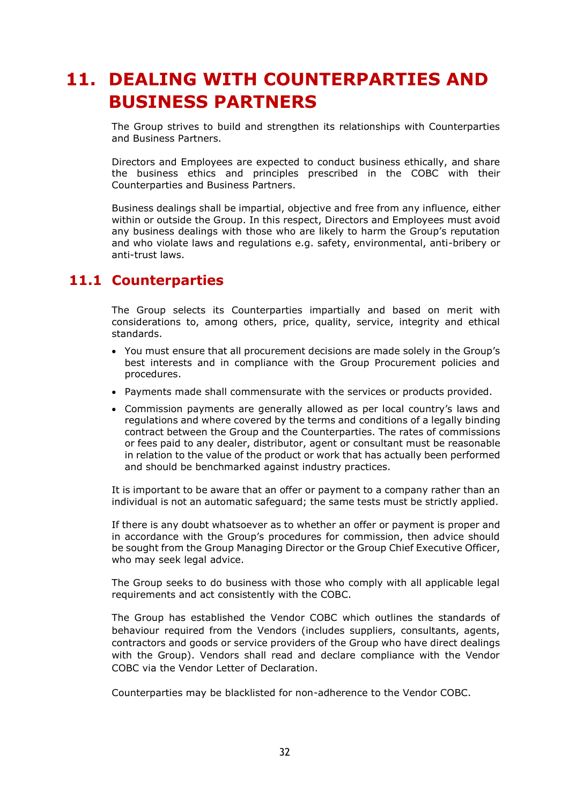## **11. DEALING WITH COUNTERPARTIES AND BUSINESS PARTNERS**

The Group strives to build and strengthen its relationships with Counterparties and Business Partners.

Directors and Employees are expected to conduct business ethically, and share the business ethics and principles prescribed in the COBC with their Counterparties and Business Partners.

Business dealings shall be impartial, objective and free from any influence, either within or outside the Group. In this respect, Directors and Employees must avoid any business dealings with those who are likely to harm the Group's reputation and who violate laws and regulations e.g. safety, environmental, anti-bribery or anti-trust laws.

#### **11.1 Counterparties**

The Group selects its Counterparties impartially and based on merit with considerations to, among others, price, quality, service, integrity and ethical standards.

- You must ensure that all procurement decisions are made solely in the Group's best interests and in compliance with the Group Procurement policies and procedures.
- Payments made shall commensurate with the services or products provided.
- Commission payments are generally allowed as per local country's laws and regulations and where covered by the terms and conditions of a legally binding contract between the Group and the Counterparties. The rates of commissions or fees paid to any dealer, distributor, agent or consultant must be reasonable in relation to the value of the product or work that has actually been performed and should be benchmarked against industry practices.

It is important to be aware that an offer or payment to a company rather than an individual is not an automatic safeguard; the same tests must be strictly applied.

If there is any doubt whatsoever as to whether an offer or payment is proper and in accordance with the Group's procedures for commission, then advice should be sought from the Group Managing Director or the Group Chief Executive Officer, who may seek legal advice.

The Group seeks to do business with those who comply with all applicable legal requirements and act consistently with the COBC.

The Group has established the Vendor COBC which outlines the standards of behaviour required from the Vendors (includes suppliers, consultants, agents, contractors and goods or service providers of the Group who have direct dealings with the Group). Vendors shall read and declare compliance with the Vendor COBC via the Vendor Letter of Declaration.

Counterparties may be blacklisted for non-adherence to the Vendor COBC.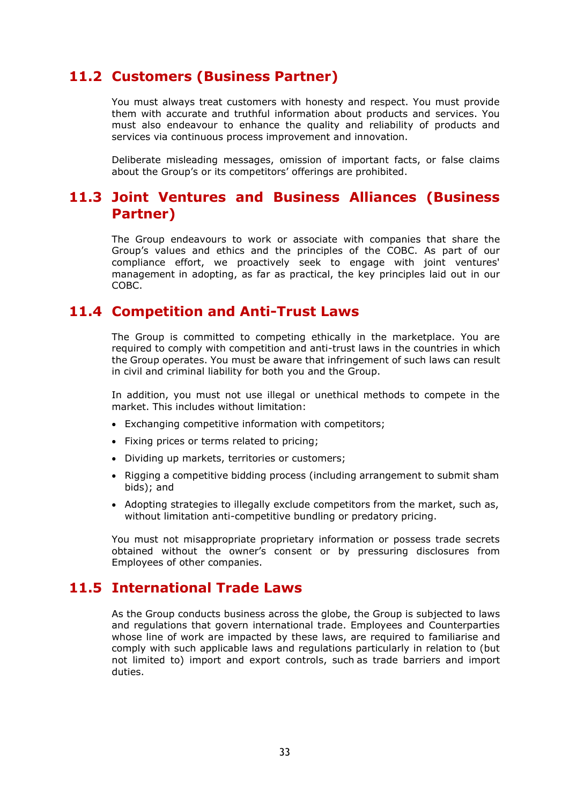#### **11.2 Customers (Business Partner)**

You must always treat customers with honesty and respect. You must provide them with accurate and truthful information about products and services. You must also endeavour to enhance the quality and reliability of products and services via continuous process improvement and innovation.

Deliberate misleading messages, omission of important facts, or false claims about the Group's or its competitors' offerings are prohibited.

#### **11.3 Joint Ventures and Business Alliances (Business Partner)**

The Group endeavours to work or associate with companies that share the Group's values and ethics and the principles of the COBC. As part of our compliance effort, we proactively seek to engage with joint ventures' management in adopting, as far as practical, the key principles laid out in our COBC.

#### **11.4 Competition and Anti-Trust Laws**

The Group is committed to competing ethically in the marketplace. You are required to comply with competition and anti-trust laws in the countries in which the Group operates. You must be aware that infringement of such laws can result in civil and criminal liability for both you and the Group.

In addition, you must not use illegal or unethical methods to compete in the market. This includes without limitation:

- Exchanging competitive information with competitors;
- Fixing prices or terms related to pricing;
- Dividing up markets, territories or customers;
- Rigging a competitive bidding process (including arrangement to submit sham bids); and
- Adopting strategies to illegally exclude competitors from the market, such as, without limitation anti-competitive bundling or predatory pricing.

You must not misappropriate proprietary information or possess trade secrets obtained without the owner's consent or by pressuring disclosures from Employees of other companies.

#### **11.5 International Trade Laws**

As the Group conducts business across the globe, the Group is subjected to laws and regulations that govern international trade. Employees and Counterparties whose line of work are impacted by these laws, are required to familiarise and comply with such applicable laws and regulations particularly in relation to (but not limited to) import and export controls, such as trade barriers and import duties.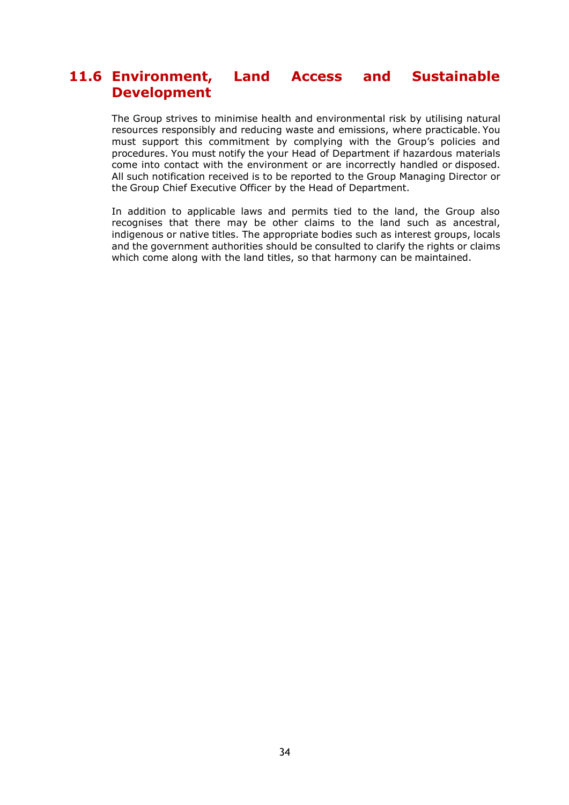#### **11.6 Environment, Land Access and Sustainable Development**

The Group strives to minimise health and environmental risk by utilising natural resources responsibly and reducing waste and emissions, where practicable. You must support this commitment by complying with the Group's policies and procedures. You must notify the your Head of Department if hazardous materials come into contact with the environment or are incorrectly handled or disposed. All such notification received is to be reported to the Group Managing Director or the Group Chief Executive Officer by the Head of Department.

In addition to applicable laws and permits tied to the land, the Group also recognises that there may be other claims to the land such as ancestral, indigenous or native titles. The appropriate bodies such as interest groups, locals and the government authorities should be consulted to clarify the rights or claims which come along with the land titles, so that harmony can be maintained.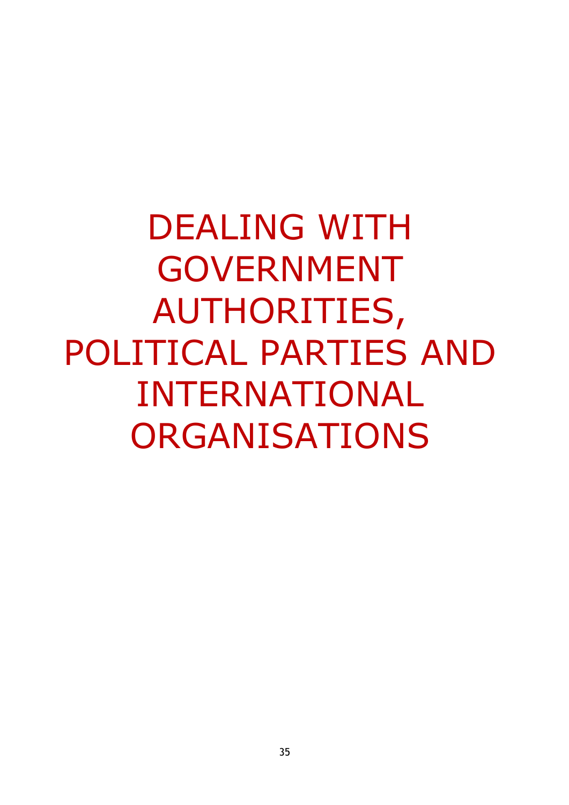DEALING WITH GOVERNMENT AUTHORITIES, POLITICAL PARTIES AND INTERNATIONAL ORGANISATIONS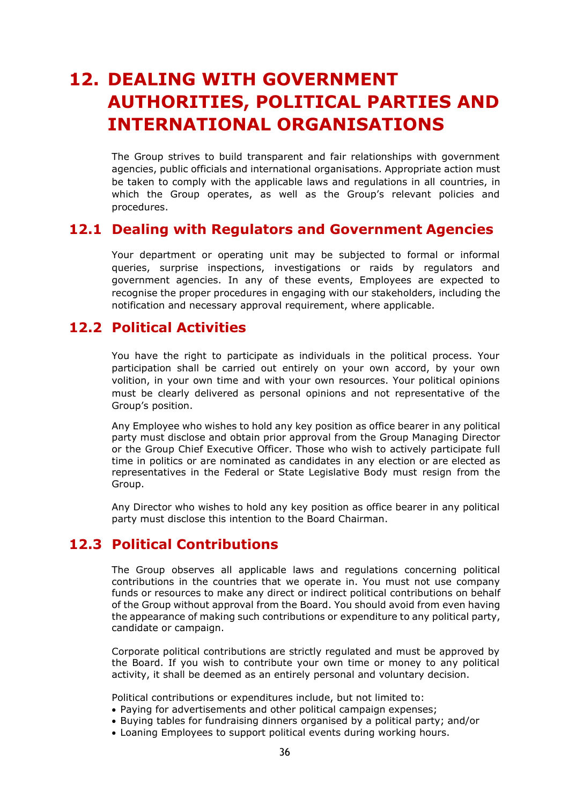## **12. DEALING WITH GOVERNMENT AUTHORITIES, POLITICAL PARTIES AND INTERNATIONAL ORGANISATIONS**

The Group strives to build transparent and fair relationships with government agencies, public officials and international organisations. Appropriate action must be taken to comply with the applicable laws and regulations in all countries, in which the Group operates, as well as the Group's relevant policies and procedures.

#### **12.1 Dealing with Regulators and Government Agencies**

Your department or operating unit may be subjected to formal or informal queries, surprise inspections, investigations or raids by regulators and government agencies. In any of these events, Employees are expected to recognise the proper procedures in engaging with our stakeholders, including the notification and necessary approval requirement, where applicable.

#### **12.2 Political Activities**

You have the right to participate as individuals in the political process. Your participation shall be carried out entirely on your own accord, by your own volition, in your own time and with your own resources. Your political opinions must be clearly delivered as personal opinions and not representative of the Group's position.

Any Employee who wishes to hold any key position as office bearer in any political party must disclose and obtain prior approval from the Group Managing Director or the Group Chief Executive Officer. Those who wish to actively participate full time in politics or are nominated as candidates in any election or are elected as representatives in the Federal or State Legislative Body must resign from the Group.

Any Director who wishes to hold any key position as office bearer in any political party must disclose this intention to the Board Chairman.

#### **12.3 Political Contributions**

The Group observes all applicable laws and regulations concerning political contributions in the countries that we operate in. You must not use company funds or resources to make any direct or indirect political contributions on behalf of the Group without approval from the Board. You should avoid from even having the appearance of making such contributions or expenditure to any political party, candidate or campaign.

Corporate political contributions are strictly regulated and must be approved by the Board. If you wish to contribute your own time or money to any political activity, it shall be deemed as an entirely personal and voluntary decision.

Political contributions or expenditures include, but not limited to:

- Paying for advertisements and other political campaign expenses;
- Buying tables for fundraising dinners organised by a political party; and/or
- Loaning Employees to support political events during working hours.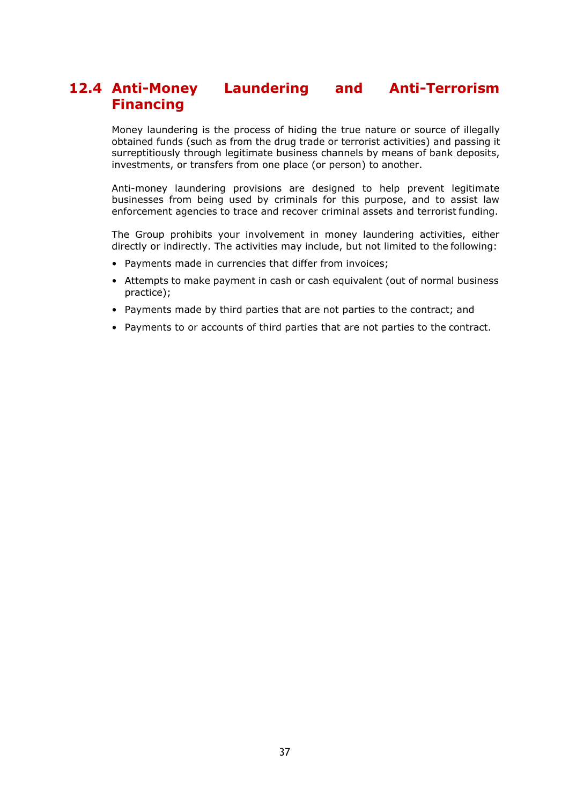#### **12.4 Anti-Money Laundering and Anti-Terrorism Financing**

Money laundering is the process of hiding the true nature or source of illegally obtained funds (such as from the drug trade or terrorist activities) and passing it surreptitiously through legitimate business channels by means of bank deposits, investments, or transfers from one place (or person) to another.

Anti-money laundering provisions are designed to help prevent legitimate businesses from being used by criminals for this purpose, and to assist law enforcement agencies to trace and recover criminal assets and terrorist funding.

The Group prohibits your involvement in money laundering activities, either directly or indirectly. The activities may include, but not limited to the following:

- Payments made in currencies that differ from invoices;
- Attempts to make payment in cash or cash equivalent (out of normal business practice);
- Payments made by third parties that are not parties to the contract; and
- Payments to or accounts of third parties that are not parties to the contract.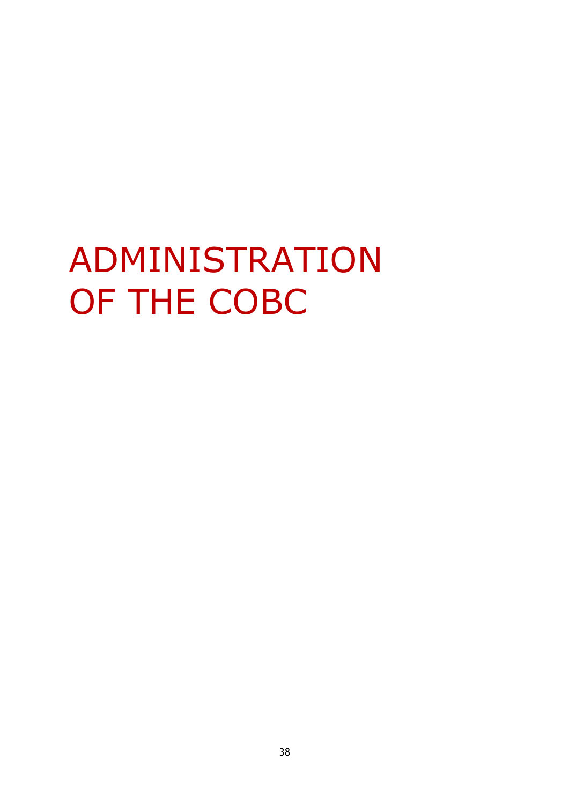# ADMINISTRATION OF THE COBC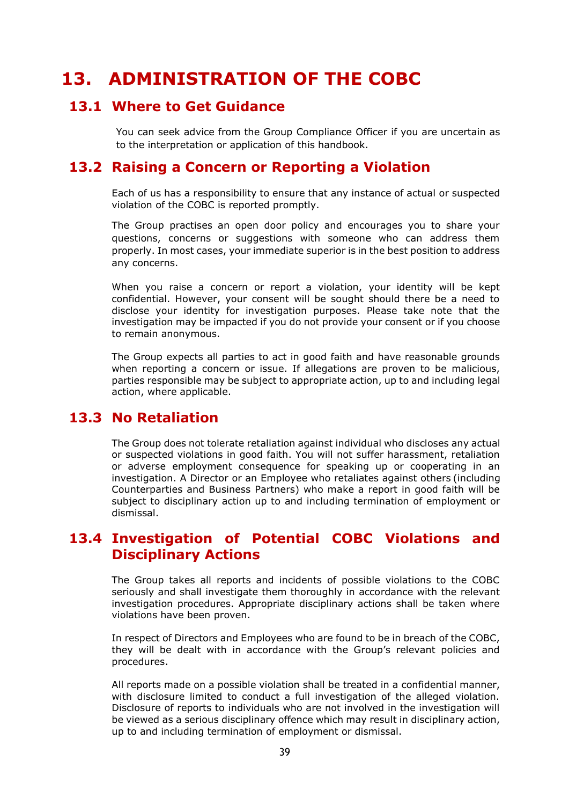## **13. ADMINISTRATION OF THE COBC**

#### **13.1 Where to Get Guidance**

You can seek advice from the Group Compliance Officer if you are uncertain as to the interpretation or application of this handbook.

#### **13.2 Raising a Concern or Reporting a Violation**

Each of us has a responsibility to ensure that any instance of actual or suspected violation of the COBC is reported promptly.

The Group practises an open door policy and encourages you to share your questions, concerns or suggestions with someone who can address them properly. In most cases, your immediate superior is in the best position to address any concerns.

When you raise a concern or report a violation, your identity will be kept confidential. However, your consent will be sought should there be a need to disclose your identity for investigation purposes. Please take note that the investigation may be impacted if you do not provide your consent or if you choose to remain anonymous.

The Group expects all parties to act in good faith and have reasonable grounds when reporting a concern or issue. If allegations are proven to be malicious, parties responsible may be subject to appropriate action, up to and including legal action, where applicable.

#### **13.3 No Retaliation**

The Group does not tolerate retaliation against individual who discloses any actual or suspected violations in good faith. You will not suffer harassment, retaliation or adverse employment consequence for speaking up or cooperating in an investigation. A Director or an Employee who retaliates against others (including Counterparties and Business Partners) who make a report in good faith will be subject to disciplinary action up to and including termination of employment or dismissal.

#### **13.4 Investigation of Potential COBC Violations and Disciplinary Actions**

The Group takes all reports and incidents of possible violations to the COBC seriously and shall investigate them thoroughly in accordance with the relevant investigation procedures. Appropriate disciplinary actions shall be taken where violations have been proven.

In respect of Directors and Employees who are found to be in breach of the COBC, they will be dealt with in accordance with the Group's relevant policies and procedures.

All reports made on a possible violation shall be treated in a confidential manner, with disclosure limited to conduct a full investigation of the alleged violation. Disclosure of reports to individuals who are not involved in the investigation will be viewed as a serious disciplinary offence which may result in disciplinary action, up to and including termination of employment or dismissal.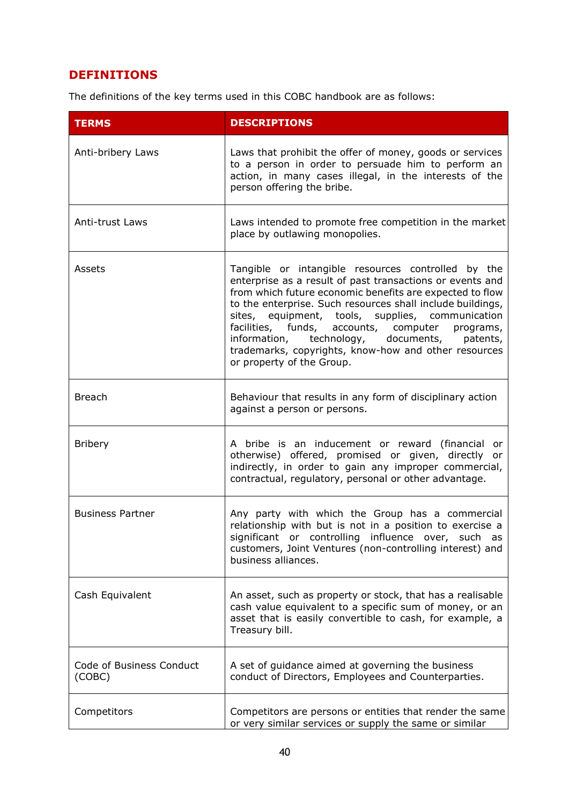#### **DEFINITIONS**

The definitions of the key terms used in this COBC handbook are as follows:

| <b>TERMS</b>                       | <b>DESCRIPTIONS</b>                                                                                                                                                                                                                                                                                                                                                                                                                                                                      |
|------------------------------------|------------------------------------------------------------------------------------------------------------------------------------------------------------------------------------------------------------------------------------------------------------------------------------------------------------------------------------------------------------------------------------------------------------------------------------------------------------------------------------------|
| Anti-bribery Laws                  | Laws that prohibit the offer of money, goods or services<br>to a person in order to persuade him to perform an<br>action, in many cases illegal, in the interests of the<br>person offering the bribe.                                                                                                                                                                                                                                                                                   |
| Anti-trust Laws                    | Laws intended to promote free competition in the market<br>place by outlawing monopolies.                                                                                                                                                                                                                                                                                                                                                                                                |
| Assets                             | Tangible or intangible resources controlled by the<br>enterprise as a result of past transactions or events and<br>from which future economic benefits are expected to flow<br>to the enterprise. Such resources shall include buildings,<br>sites, equipment, tools, supplies, communication<br>facilities, funds, accounts, computer programs,<br>information, technology, documents,<br>patents,<br>trademarks, copyrights, know-how and other resources<br>or property of the Group. |
| <b>Breach</b>                      | Behaviour that results in any form of disciplinary action<br>against a person or persons.                                                                                                                                                                                                                                                                                                                                                                                                |
| <b>Bribery</b>                     | A bribe is an inducement or reward (financial or<br>otherwise) offered, promised or given, directly or<br>indirectly, in order to gain any improper commercial,<br>contractual, regulatory, personal or other advantage.                                                                                                                                                                                                                                                                 |
| <b>Business Partner</b>            | Any party with which the Group has a commercial<br>relationship with but is not in a position to exercise a<br>significant or controlling influence over, such as<br>customers, Joint Ventures (non-controlling interest) and<br>business alliances.                                                                                                                                                                                                                                     |
| Cash Equivalent                    | An asset, such as property or stock, that has a realisable<br>cash value equivalent to a specific sum of money, or an<br>asset that is easily convertible to cash, for example, a<br>Treasury bill.                                                                                                                                                                                                                                                                                      |
| Code of Business Conduct<br>(COBC) | A set of guidance aimed at governing the business<br>conduct of Directors, Employees and Counterparties.                                                                                                                                                                                                                                                                                                                                                                                 |
| Competitors                        | Competitors are persons or entities that render the same<br>or very similar services or supply the same or similar                                                                                                                                                                                                                                                                                                                                                                       |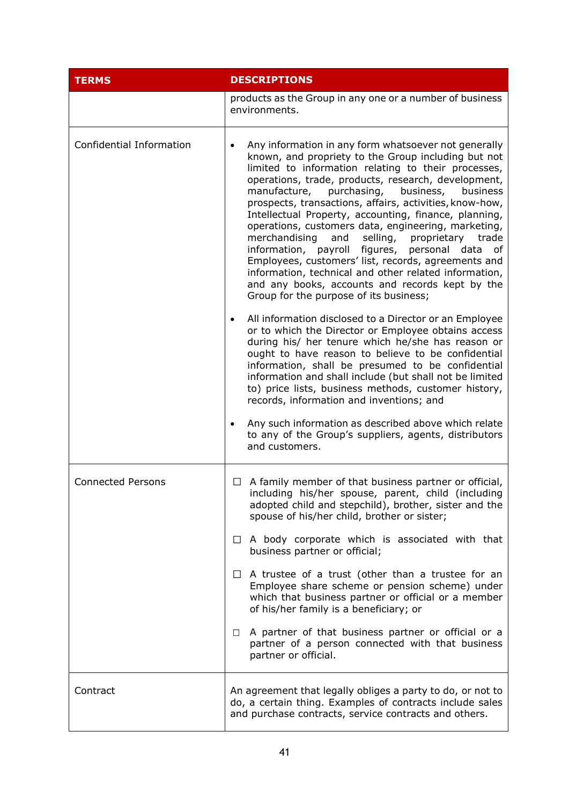| <b>TERMS</b>             | <b>DESCRIPTIONS</b>                                                                                                                                                                                                                                                                                                                                                                                                                                                                                                                                                                                                                                                                                                                                                                  |
|--------------------------|--------------------------------------------------------------------------------------------------------------------------------------------------------------------------------------------------------------------------------------------------------------------------------------------------------------------------------------------------------------------------------------------------------------------------------------------------------------------------------------------------------------------------------------------------------------------------------------------------------------------------------------------------------------------------------------------------------------------------------------------------------------------------------------|
|                          | products as the Group in any one or a number of business<br>environments.                                                                                                                                                                                                                                                                                                                                                                                                                                                                                                                                                                                                                                                                                                            |
| Confidential Information | Any information in any form whatsoever not generally<br>known, and propriety to the Group including but not<br>limited to information relating to their processes,<br>operations, trade, products, research, development,<br>manufacture, purchasing, business,<br>business<br>prospects, transactions, affairs, activities, know-how,<br>Intellectual Property, accounting, finance, planning,<br>operations, customers data, engineering, marketing,<br>merchandising<br>and<br>selling,<br>proprietary trade<br>information, payroll figures,<br>personal data<br>of<br>Employees, customers' list, records, agreements and<br>information, technical and other related information,<br>and any books, accounts and records kept by the<br>Group for the purpose of its business; |
|                          | All information disclosed to a Director or an Employee<br>$\bullet$<br>or to which the Director or Employee obtains access<br>during his/ her tenure which he/she has reason or<br>ought to have reason to believe to be confidential<br>information, shall be presumed to be confidential<br>information and shall include (but shall not be limited<br>to) price lists, business methods, customer history,<br>records, information and inventions; and<br>Any such information as described above which relate                                                                                                                                                                                                                                                                    |
|                          | to any of the Group's suppliers, agents, distributors<br>and customers.                                                                                                                                                                                                                                                                                                                                                                                                                                                                                                                                                                                                                                                                                                              |
| <b>Connected Persons</b> | A family member of that business partner or official,<br>ப<br>including his/her spouse, parent, child (including<br>adopted child and stepchild), brother, sister and the<br>spouse of his/her child, brother or sister;                                                                                                                                                                                                                                                                                                                                                                                                                                                                                                                                                             |
|                          | $\Box$ A body corporate which is associated with that<br>business partner or official;                                                                                                                                                                                                                                                                                                                                                                                                                                                                                                                                                                                                                                                                                               |
|                          | $\Box$ A trustee of a trust (other than a trustee for an<br>Employee share scheme or pension scheme) under<br>which that business partner or official or a member<br>of his/her family is a beneficiary; or                                                                                                                                                                                                                                                                                                                                                                                                                                                                                                                                                                          |
|                          | A partner of that business partner or official or a<br>$\Box$<br>partner of a person connected with that business<br>partner or official.                                                                                                                                                                                                                                                                                                                                                                                                                                                                                                                                                                                                                                            |
| Contract                 | An agreement that legally obliges a party to do, or not to<br>do, a certain thing. Examples of contracts include sales<br>and purchase contracts, service contracts and others.                                                                                                                                                                                                                                                                                                                                                                                                                                                                                                                                                                                                      |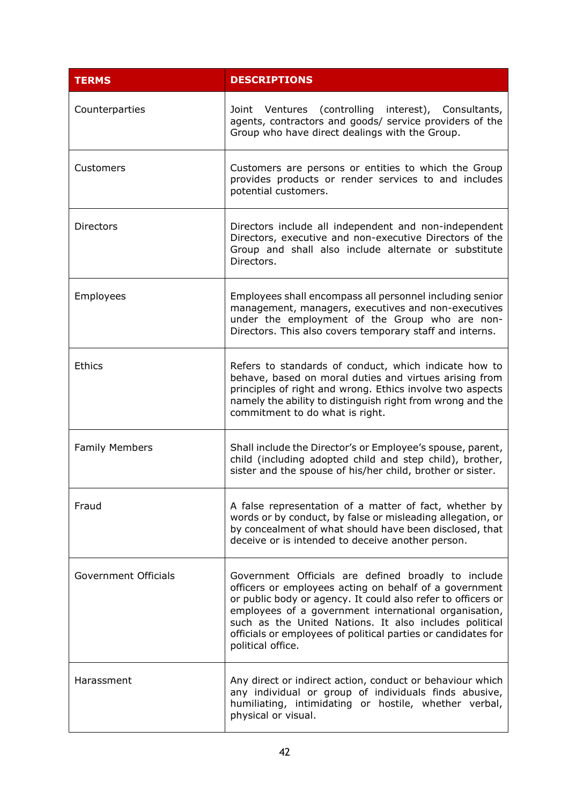| <b>TERMS</b>                | <b>DESCRIPTIONS</b>                                                                                                                                                                                                                                                                                                                                                                    |
|-----------------------------|----------------------------------------------------------------------------------------------------------------------------------------------------------------------------------------------------------------------------------------------------------------------------------------------------------------------------------------------------------------------------------------|
| Counterparties              | Joint Ventures (controlling interest), Consultants,<br>agents, contractors and goods/ service providers of the<br>Group who have direct dealings with the Group.                                                                                                                                                                                                                       |
| Customers                   | Customers are persons or entities to which the Group<br>provides products or render services to and includes<br>potential customers.                                                                                                                                                                                                                                                   |
| <b>Directors</b>            | Directors include all independent and non-independent<br>Directors, executive and non-executive Directors of the<br>Group and shall also include alternate or substitute<br>Directors.                                                                                                                                                                                                 |
| Employees                   | Employees shall encompass all personnel including senior<br>management, managers, executives and non-executives<br>under the employment of the Group who are non-<br>Directors. This also covers temporary staff and interns.                                                                                                                                                          |
| <b>Ethics</b>               | Refers to standards of conduct, which indicate how to<br>behave, based on moral duties and virtues arising from<br>principles of right and wrong. Ethics involve two aspects<br>namely the ability to distinguish right from wrong and the<br>commitment to do what is right.                                                                                                          |
| <b>Family Members</b>       | Shall include the Director's or Employee's spouse, parent,<br>child (including adopted child and step child), brother,<br>sister and the spouse of his/her child, brother or sister.                                                                                                                                                                                                   |
| Fraud                       | A false representation of a matter of fact, whether by<br>words or by conduct, by false or misleading allegation, or<br>by concealment of what should have been disclosed, that<br>deceive or is intended to deceive another person.                                                                                                                                                   |
| <b>Government Officials</b> | Government Officials are defined broadly to include<br>officers or employees acting on behalf of a government<br>or public body or agency. It could also refer to officers or<br>employees of a government international organisation,<br>such as the United Nations. It also includes political<br>officials or employees of political parties or candidates for<br>political office. |
| Harassment                  | Any direct or indirect action, conduct or behaviour which<br>any individual or group of individuals finds abusive,<br>humiliating, intimidating or hostile, whether verbal,<br>physical or visual.                                                                                                                                                                                     |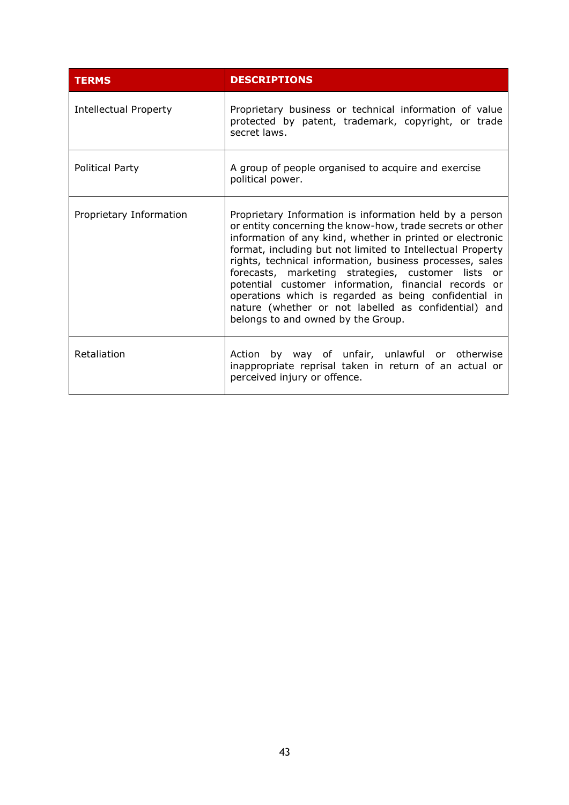| <b>TERMS</b>                 | <b>DESCRIPTIONS</b>                                                                                                                                                                                                                                                                                                                                                                                                                                                                                                                                                              |
|------------------------------|----------------------------------------------------------------------------------------------------------------------------------------------------------------------------------------------------------------------------------------------------------------------------------------------------------------------------------------------------------------------------------------------------------------------------------------------------------------------------------------------------------------------------------------------------------------------------------|
| <b>Intellectual Property</b> | Proprietary business or technical information of value<br>protected by patent, trademark, copyright, or trade<br>secret laws.                                                                                                                                                                                                                                                                                                                                                                                                                                                    |
| Political Party              | A group of people organised to acquire and exercise<br>political power.                                                                                                                                                                                                                                                                                                                                                                                                                                                                                                          |
| Proprietary Information      | Proprietary Information is information held by a person<br>or entity concerning the know-how, trade secrets or other<br>information of any kind, whether in printed or electronic<br>format, including but not limited to Intellectual Property<br>rights, technical information, business processes, sales<br>forecasts, marketing strategies, customer lists or<br>potential customer information, financial records or<br>operations which is regarded as being confidential in<br>nature (whether or not labelled as confidential) and<br>belongs to and owned by the Group. |
| Retaliation                  | Action by way of unfair, unlawful or otherwise<br>inappropriate reprisal taken in return of an actual or<br>perceived injury or offence.                                                                                                                                                                                                                                                                                                                                                                                                                                         |